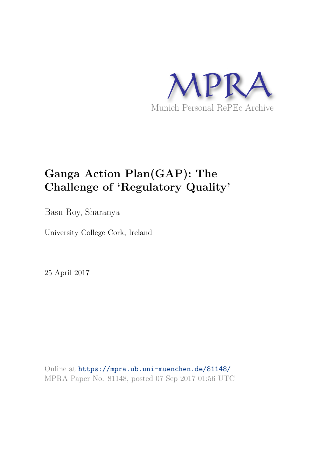

# **Ganga Action Plan(GAP): The Challenge of 'Regulatory Quality'**

Basu Roy, Sharanya

University College Cork, Ireland

25 April 2017

Online at https://mpra.ub.uni-muenchen.de/81148/ MPRA Paper No. 81148, posted 07 Sep 2017 01:56 UTC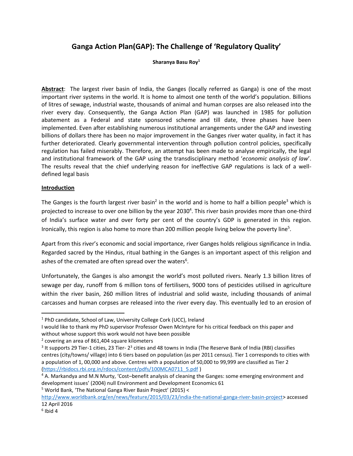# **Ganga Action Plan(GAP): The Challenge of 'Regulatory Quality'**

#### **Sharanya Basu Roy<sup>1</sup>**

**Abstract**: The largest river basin of India, the Ganges (locally referred as Ganga) is one of the most important river systems in the world. It is home to almost one tenth of the world's population. Billions of litres of sewage, industrial waste, thousands of animal and human corpses are also released into the river every day. Consequently, the Ganga Action Plan (GAP) was launched in 1985 for pollution abatement as a Federal and state sponsored scheme and till date, three phases have been implemented. Even after establishing numerous institutional arrangements under the GAP and investing billions of dollars there has been no major improvement in the Ganges river water quality, in fact it has further deteriorated. Clearly governmental intervention through pollution control policies, specifically regulation has failed miserably. Therefore, an attempt has been made to analyse empirically, the legal and institutional framework of the GAP using the transdisciplinary method '*economic analysis of law*'. The results reveal that the chief underlying reason for ineffective GAP regulations is lack of a welldefined legal basis

#### **Introduction**

<span id="page-1-0"></span>The Ganges is the fourth largest river basin<sup>2</sup> in the world and is home to half a billion people<sup>3</sup> which is projected to increase to over one billion by the year 2030<sup>4</sup>. This river basin provides more than one-third of India's surface water and over forty per cent of the country's GDP is generated in this region. Ironically, this region is also home to more than 200 million people living below the poverty line<sup>5</sup>.

Apart from this river's economic and social importance, river Ganges holds religious significance in India. Regarded sacred by the Hindus, ritual bathing in the Ganges is an important aspect of this religion and ashes of the cremated are often spread over the waters<sup>6</sup>.

Unfortunately, the Ganges is also amongst the world's most polluted rivers. Nearly 1.3 billion litres of sewage per day, runoff from 6 million tons of fertilisers, 9000 tons of pesticides utilised in agriculture within the river basin, 260 million litres of industrial and solid waste, including thousands of animal carcasses and human corpses are released into the river every day. This eventually led to an erosion of

<sup>5</sup> World Bank, 'The National Ganga River Basin Project' (2015) <

l

<sup>&</sup>lt;sup>1</sup> PhD candidate, School of Law, University College Cork (UCC), Ireland

I would like to thank my PhD supervisor Professor Owen McIntyre for his critical feedback on this paper and without whose support this work would not have been possible

<sup>&</sup>lt;sup>2</sup> covering an area of 861,404 square kilometers

 $3$  It supports 29 Tier-1 cities, 23 Tier- 2 $3$  cities and 48 towns in India (The Reserve Bank of India (RBI) classifies centres (city/towns/ village) into 6 tiers based on population (as per 2011 census). Tier 1 corresponds to cities with a population of 1, 00,000 and above. Centres with a population of 50,000 to 99,999 are classified as Tier 2 [\(https://rbidocs.rbi.org.in/rdocs/content/pdfs/100MCA0711\\_5.pdf](https://rbidocs.rbi.org.in/rdocs/content/pdfs/100MCA0711_5.pdf) )

<sup>4</sup> A. Markandya and M.N Murty, 'Cost–benefit analysis of cleaning the Ganges: some emerging environment and development issues' (2004) null Environment and Development Economics 61

[http://www.worldbank.org/en/news/feature/2015/03/23/india-the-national-ganga-river-basin-project>](http://www.worldbank.org/en/news/feature/2015/03/23/india-the-national-ganga-river-basin-project) accessed 12 April 2016

 $6$  Ibid 4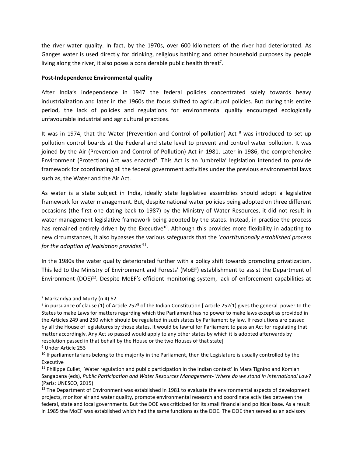the river water quality. In fact, by the 1970s, over 600 kilometers of the river had deteriorated. As Ganges water is used directly for drinking, religious bathing and other household purposes by people living along the river, it also poses a considerable public health threat<sup>7</sup>.

#### **Post-Independence Environmental quality**

After India's independence in 1947 the federal policies concentrated solely towards heavy industrialization and later in the 1960s the focus shifted to agricultural policies. But during this entire period, the lack of policies and regulations for environmental quality encouraged ecologically unfavourable industrial and agricultural practices.

It was in 1974, that the Water (Prevention and Control of pollution) Act <sup>8</sup> was introduced to set up pollution control boards at the Federal and state level to prevent and control water pollution. It was joined by the Air (Prevention and Control of Pollution) Act in 1981. Later in 1986, the comprehensive Environment (Protection) Act was enacted<sup>9</sup>. This Act is an 'umbrella' legislation intended to provide framework for coordinating all the federal government activities under the previous environmental laws such as, the Water and the Air Act.

As water is a state subject in India, ideally state legislative assemblies should adopt a legislative framework for water management. But, despite national water policies being adopted on three different occasions (the first one dating back to 1987) by the Ministry of Water Resources, it did not result in water management legislative framework being adopted by the states. Instead, in practice the process has remained entirely driven by the Executive<sup>10</sup>. Although this provides more flexibility in adapting to new circumstances, it also bypasses the various safeguards that the '*constitutionally established process for the adoption of legislation provides'*<sup>11</sup> .

In the 1980s the water quality deteriorated further with a policy shift towards promoting privatization. This led to the Ministry of Environment and Forests' (MoEF) establishment to assist the Department of Environment (DOE)<sup>12</sup>. Despite MoEF's efficient monitoring system, lack of enforcement capabilities at

 $\overline{\phantom{0}}$ 

<sup>&</sup>lt;sup>7</sup> Markandya and Murty ([n 4\)](#page-1-0) 62

 $8$  in pursuance of clause (1) of Article 252 $8$  of the Indian Constitution [Article 252(1) gives the general power to the States to make Laws for matters regarding which the Parliament has no power to make laws except as provided in the Articles 249 and 250 which should be regulated in such states by Parliament by law. If resolutions are passed by all the House of legislatures by those states, it would be lawful for Parliament to pass an Act for regulating that matter accordingly. Any Act so passed would apply to any other states by which it is adopted afterwards by resolution passed in that behalf by the House or the two Houses of that state]

<sup>9</sup> Under Article 253

 $10$  If parliamentarians belong to the majority in the Parliament, then the Legislature is usually controlled by the Executive

<sup>11</sup> Philippe Cullet, *'*Water regulation and public participation in the Indian context' in Mara Tignino and Komlan Sangabana (eds), *Public Participation and Water Resources Management- Where do we stand in International Law?*  (Paris: UNESCO, 2015)

<sup>&</sup>lt;sup>12</sup> The Department of Environment was established in 1981 to evaluate the environmental aspects of development projects, monitor air and water quality, promote environmental research and coordinate activities between the federal, state and local governments. But the DOE was criticized for its small financial and political base. As a result in 1985 the MoEF was established which had the same functions as the DOE. The DOE then served as an advisory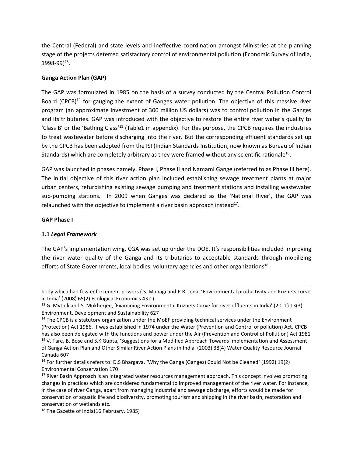the Central (Federal) and state levels and ineffective coordination amongst Ministries at the planning stage of the projects deterred satisfactory control of environmental pollution (Economic Survey of India, 1998-99)<sup>13</sup>.

# **Ganga Action Plan (GAP)**

The GAP was formulated in 1985 on the basis of a survey conducted by the Central Pollution Control Board (CPCB)<sup>14</sup> for gauging the extent of Ganges water pollution. The objective of this massive river program (an approximate investment of 300 million US dollars) was to control pollution in the Ganges and its tributaries. GAP was introduced with the objective to restore the entire river water's quality to 'Class B' or the 'Bathing Class'<sup>15</sup> (Table1 in appendix). For this purpose, the CPCB requires the industries to treat wastewater before discharging into the river. But the corresponding effluent standards set up by the CPCB has been adopted from the ISI (Indian Standards Institution, now known as Bureau of Indian Standards) which are completely arbitrary as they were framed without any scientific rationale<sup>16</sup>.

GAP was launched in phases namely, Phase I, Phase II and Namami Gange (referred to as Phase III here). The initial objective of this river action plan included establishing sewage treatment plants at major urban centers, refurbishing existing sewage pumping and treatment stations and installing wastewater sub-pumping stations. In 2009 when Ganges was declared as the 'National River', the GAP was relaunched with the objective to implement a river basin approach instead $^{17}$ .

#### **GAP Phase I**

l

# **1.1** *Legal Framework*

The GAP's implementation wing, CGA was set up under the DOE. It's responsibilities included improving the river water quality of the Ganga and its tributaries to acceptable standards through mobilizing efforts of State Governments, local bodies, voluntary agencies and other organizations<sup>18</sup>.

body which had few enforcement powers ( S. Managi and P.R. Jena, 'Environmental productivity and Kuznets curve in India' (2008) 65(2) Ecological Economics 432 )

<sup>&</sup>lt;sup>13</sup> G. Mythili and S. Mukherjee, 'Examining Environmental Kuznets Curve for river effluents in India' (2011) 13(3) Environment, Development and Sustainability 627

<sup>&</sup>lt;sup>14</sup> The CPCB is a statutory organization under the MoEF providing technical services under the Environment (Protection) Act 1986. It was established in 1974 under the Water (Prevention and Control of pollution) Act. CPCB has also been delegated with the functions and power under the Air (Prevention and Control of Pollution) Act 1981 <sup>15</sup> V. Tare, B. Bose and S.K Gupta, 'Suggestions for a Modified Approach Towards Implementation and Assessment of Ganga Action Plan and Other Similar River Action Plans in India' (2003) 38(4) Water Quality Resource Journal Canada 607

<sup>&</sup>lt;sup>16</sup> For further details refers to: D.S Bhargava, 'Why the Ganga (Ganges) Could Not be Cleaned' (1992) 19(2) Environmental Conservation 170

<sup>&</sup>lt;sup>17</sup> River Basin Approach is an integrated water resources management approach. This concept involves promoting changes in practices which are considered fundamental to improved management of the river water. For instance, in the case of river Ganga, apart from managing industrial and sewage discharge, efforts would be made for conservation of aquatic life and biodiversity, promoting tourism and shipping in the river basin, restoration and conservation of wetlands etc.

<sup>&</sup>lt;sup>18</sup> The Gazette of India(16 February, 1985)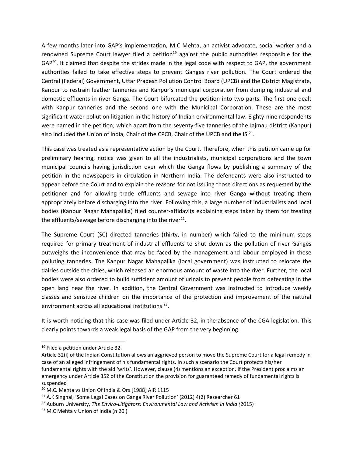<span id="page-4-0"></span>A few months later into GAP's implementation, M.C Mehta, an activist advocate, social worker and a renowned Supreme Court lawyer filed a petition<sup>19</sup> against the public authorities responsible for the GAP<sup>20</sup>. It claimed that despite the strides made in the legal code with respect to GAP, the government authorities failed to take effective steps to prevent Ganges river pollution. The Court ordered the Central (Federal) Government, Uttar Pradesh Pollution Control Board (UPCB) and the District Magistrate, Kanpur to restrain leather tanneries and Kanpur's municipal corporation from dumping industrial and domestic effluents in river Ganga. The Court bifurcated the petition into two parts. The first one dealt with Kanpur tanneries and the second one with the Municipal Corporation. These are the most significant water pollution litigation in the history of Indian environmental law. Eighty-nine respondents were named in the petition; which apart from the seventy-five tanneries of the Jajmau district (Kanpur) also included the Union of India, Chair of the CPCB, Chair of the UPCB and the  $ISI<sup>21</sup>$ .

This case was treated as a representative action by the Court. Therefore, when this petition came up for preliminary hearing, notice was given to all the industrialists, municipal corporations and the town municipal councils having jurisdiction over which the Ganga flows by publishing a summary of the petition in the newspapers in circulation in Northern India. The defendants were also instructed to appear before the Court and to explain the reasons for not issuing those directions as requested by the petitioner and for allowing trade effluents and sewage into river Ganga without treating them appropriately before discharging into the river. Following this, a large number of industrialists and local bodies (Kanpur Nagar Mahapalika) filed counter-affidavits explaining steps taken by them for treating the effluents/sewage before discharging into the river<sup>22</sup>.

The Supreme Court (SC) directed tanneries (thirty, in number) which failed to the minimum steps required for primary treatment of industrial effluents to shut down as the pollution of river Ganges outweighs the inconvenience that may be faced by the management and labour employed in these polluting tanneries. The Kanpur Nagar Mahapalika (local government) was instructed to relocate the dairies outside the cities, which released an enormous amount of waste into the river. Further, the local bodies were also ordered to build sufficient amount of urinals to prevent people from defecating in the open land near the river. In addition, the Central Government was instructed to introduce weekly classes and sensitize children on the importance of the protection and improvement of the natural environment across all educational institutions<sup>23</sup>.

<span id="page-4-1"></span>It is worth noticing that this case was filed under Article 32, in the absence of the CGA legislation. This clearly points towards a weak legal basis of the GAP from the very beginning.

 $\overline{a}$ 

<sup>&</sup>lt;sup>19</sup> Filed a petition under Article 32.

Article 32(i) of the Indian Constitution allows an aggrieved person to move the Supreme Court for a legal remedy in case of an alleged infringement of his fundamental rights. In such a scenario the Court protects his/her fundamental rights with the aid 'writs'. However, clause (4) mentions an exception. If the President proclaims an emergency under Article 352 of the Constitution the provision for guaranteed remedy of fundamental rights is suspended

<sup>&</sup>lt;sup>20</sup> M.C. Mehta vs Union Of India & Ors [1988] AIR 1115

<sup>&</sup>lt;sup>21</sup> A.K Singhal, 'Some Legal Cases on Ganga River Pollution' (2012) 4(2) Researcher 61

<sup>22</sup> Auburn University, *The Enviro-Litigators: Environmental Law and Activism in India (*2015)

<sup>&</sup>lt;sup>23</sup> M.C Mehta v Union of India (n 20)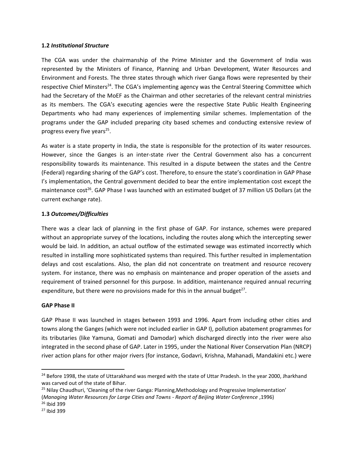#### **1.2** *Institutional Structure*

The CGA was under the chairmanship of the Prime Minister and the Government of India was represented by the Ministers of Finance, Planning and Urban Development, Water Resources and Environment and Forests. The three states through which river Ganga flows were represented by their respective Chief Minsters<sup>24</sup>. The CGA's implementing agency was the Central Steering Committee which had the Secretary of the MoEF as the Chairman and other secretaries of the relevant central ministries as its members. The CGA's executing agencies were the respective State Public Health Engineering Departments who had many experiences of implementing similar schemes. Implementation of the programs under the GAP included preparing city based schemes and conducting extensive review of progress every five years<sup>25</sup>.

As water is a state property in India, the state is responsible for the protection of its water resources. However, since the Ganges is an inter-state river the Central Government also has a concurrent responsibility towards its maintenance. This resulted in a dispute between the states and the Centre (Federal) regarding sharing of the GAP's cost. Therefore, to ensure the state's coordination in GAP Phase I's implementation, the Central government decided to bear the entire implementation cost except the maintenance cost<sup>26</sup>. GAP Phase I was launched with an estimated budget of 37 million US Dollars (at the current exchange rate).

#### **1.3** *Outcomes/Difficulties*

There was a clear lack of planning in the first phase of GAP. For instance, schemes were prepared without an appropriate survey of the locations, including the routes along which the intercepting sewer would be laid. In addition, an actual outflow of the estimated sewage was estimated incorrectly which resulted in installing more sophisticated systems than required. This further resulted in implementation delays and cost escalations. Also, the plan did not concentrate on treatment and resource recovery system. For instance, there was no emphasis on maintenance and proper operation of the assets and requirement of trained personnel for this purpose. In addition, maintenance required annual recurring expenditure, but there were no provisions made for this in the annual budget<sup>27</sup>.

#### **GAP Phase II**

GAP Phase II was launched in stages between 1993 and 1996. Apart from including other cities and towns along the Ganges (which were not included earlier in GAP I), pollution abatement programmes for its tributaries (like Yamuna, Gomati and Damodar) which discharged directly into the river were also integrated in the second phase of GAP. Later in 1995, under the National River Conservation Plan (NRCP) river action plans for other major rivers (for instance, Godavri, Krishna, Mahanadi, Mandakini etc.) were

 $\overline{\phantom{0}}$ 

<sup>&</sup>lt;sup>24</sup> Before 1998, the state of Uttarakhand was merged with the state of Uttar Pradesh. In the year 2000, Jharkhand was carved out of the state of Bihar.

<sup>&</sup>lt;sup>25</sup> Nilay Chaudhuri, 'Cleaning of the river Ganga: Planning,Methodology and Progressive Implementation' (*Managing Water Resources for Large Cities and Towns - Report of Beijing Water Conference* ,1996)

<sup>26</sup> Ibid 399

<sup>27</sup> Ibid 399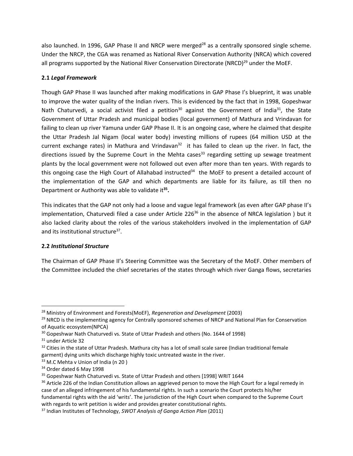also launched. In 1996, GAP Phase II and NRCP were merged<sup>28</sup> as a centrally sponsored single scheme. Under the NRCP, the CGA was renamed as National River Conservation Authority (NRCA) which covered all programs supported by the National River Conservation Directorate (NRCD)<sup>29</sup> under the MoEF.

# **2.1** *Legal Framework*

Though GAP Phase II was launched after making modifications in GAP Phase I's blueprint, it was unable to improve the water quality of the Indian rivers. This is evidenced by the fact that in 1998, Gopeshwar Nath Chaturvedi, a social activist filed a petition<sup>30</sup> against the Government of India<sup>31</sup>, the State Government of Uttar Pradesh and municipal bodies (local government) of Mathura and Vrindavan for failing to clean up river Yamuna under GAP Phase II. It is an ongoing case, where he claimed that despite the Uttar Pradesh Jal Nigam (local water body) investing millions of rupees (64 million USD at the current exchange rates) in Mathura and Vrindavan<sup>32</sup> it has failed to clean up the river. In fact, the directions issued by the Supreme Court in the Mehta cases<sup>33</sup> regarding setting up sewage treatment plants by the local government were not followed out even after more than ten years. With regards to this ongoing case the High Court of Allahabad instructed<sup>34</sup> the MoEF to present a detailed account of the implementation of the GAP and which departments are liable for its failure, as till then no Department or Authority was able to validate it**<sup>35</sup> .** 

<span id="page-6-0"></span>This indicates that the GAP not only had a loose and vague legal framework (as even after GAP phase II's implementation, Chaturvedi filed a case under Article 226 $36$  in the absence of NRCA legislation) but it also lacked clarity about the roles of the various stakeholders involved in the implementation of GAP and its institutional structure<sup>37</sup>.

# **2.2** *Institutional Structure*

The Chairman of GAP Phase II's Steering Committee was the Secretary of the MoEF. Other members of the Committee included the chief secretaries of the states through which river Ganga flows, secretaries

 $\overline{a}$ 

<sup>28</sup> Ministry of Environment and Forests(MoEF), *Regeneration and Development* (2003)

<sup>&</sup>lt;sup>29</sup> NRCD is the implementing agency for Centrally sponsored schemes of NRCP and National Plan for Conservation of Aquatic ecosystem(NPCA)

<sup>&</sup>lt;sup>30</sup> Gopeshwar Nath Chaturvedi vs. State of Uttar Pradesh and others (No. 1644 of 1998)

<sup>&</sup>lt;sup>31</sup> under Article 32

<sup>&</sup>lt;sup>32</sup> Cities in the state of Uttar Pradesh. Mathura city has a lot of small scale saree (Indian traditional female garment) dying units which discharge highly toxic untreated waste in the river.

<sup>33</sup> M.C Mehta v Union of India (n 20)

<sup>34</sup> Order dated 6 May 1998

<sup>35</sup> Gopeshwar Nath Chaturvedi vs. State of Uttar Pradesh and others [1998] WRIT 1644

<sup>&</sup>lt;sup>36</sup> Article 226 of the Indian Constitution allows an aggrieved person to move the High Court for a legal remedy in case of an alleged infringement of his fundamental rights. In such a scenario the Court protects his/her fundamental rights with the aid 'writs'. The jurisdiction of the High Court when compared to the Supreme Court with regards to writ petition is wider and provides greater constitutional rights.

<sup>37</sup> Indian Institutes of Technology, *SWOT Analysis of Ganga Action Plan* (2011)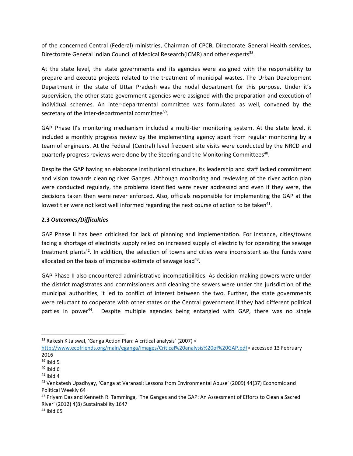of the concerned Central (Federal) ministries, Chairman of CPCB, Directorate General Health services, Directorate General Indian Council of Medical Research(ICMR) and other experts<sup>38</sup>.

At the state level, the state governments and its agencies were assigned with the responsibility to prepare and execute projects related to the treatment of municipal wastes. The Urban Development Department in the state of Uttar Pradesh was the nodal department for this purpose. Under it's supervision, the other state government agencies were assigned with the preparation and execution of individual schemes. An inter-departmental committee was formulated as well, convened by the secretary of the inter-departmental committee<sup>39</sup>.

GAP Phase II's monitoring mechanism included a multi-tier monitoring system. At the state level, it included a monthly progress review by the implementing agency apart from regular monitoring by a team of engineers. At the Federal (Central) level frequent site visits were conducted by the NRCD and quarterly progress reviews were done by the Steering and the Monitoring Committees<sup>40</sup>.

Despite the GAP having an elaborate institutional structure, its leadership and staff lacked commitment and vision towards cleaning river Ganges. Although monitoring and reviewing of the river action plan were conducted regularly, the problems identified were never addressed and even if they were, the decisions taken then were never enforced. Also, officials responsible for implementing the GAP at the lowest tier were not kept well informed regarding the next course of action to be taken $41$ .

#### **2.3** *Outcomes/Difficulties*

<span id="page-7-1"></span>GAP Phase II has been criticised for lack of planning and implementation. For instance, cities/towns facing a shortage of electricity supply relied on increased supply of electricity for operating the sewage treatment plants<sup>42</sup>. In addition, the selection of towns and cities were inconsistent as the funds were allocated on the basis of imprecise estimate of sewage load<sup>43</sup>.

<span id="page-7-0"></span>GAP Phase II also encountered administrative incompatibilities. As decision making powers were under the district magistrates and commissioners and cleaning the sewers were under the jurisdiction of the municipal authorities, it led to conflict of interest between the two. Further, the state governments were reluctant to cooperate with other states or the Central government if they had different political parties in power<sup>44</sup>. Despite multiple agencies being entangled with GAP, there was no single

 $\overline{\phantom{0}}$ 

<sup>38</sup> Rakesh K Jaiswal, 'Ganga Action Plan: A critical analysis' (2007) <

[http://www.ecofriends.org/main/eganga/images/Critical%20analysis%20of%20GAP.pdf>](http://www.ecofriends.org/main/eganga/images/Critical%20analysis%20of%20GAP.pdf) accessed 13 February 2016

 $39$  Ibid 5

 $40$  Ibid 6

 $41$  Ibid 4

<sup>42</sup> Venkatesh Upadhyay, 'Ganga at Varanasi: Lessons from Environmental Abuse' (2009) 44(37) Economic and Political Weekly 64

<sup>&</sup>lt;sup>43</sup> Priyam Das and Kenneth R. Tamminga, 'The Ganges and the GAP: An Assessment of Efforts to Clean a Sacred River' (2012) 4(8) Sustainability 1647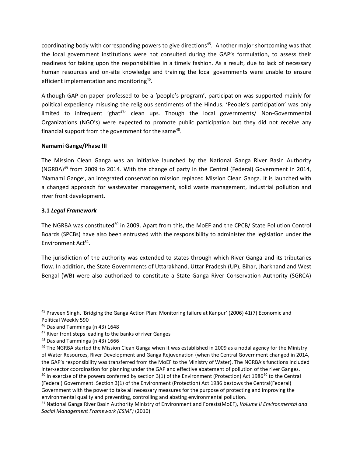<span id="page-8-0"></span>coordinating body with corresponding powers to give directions<sup>45</sup>. Another major shortcoming was that the local government institutions were not consulted during the GAP's formulation, to assess their readiness for taking upon the responsibilities in a timely fashion. As a result, due to lack of necessary human resources and on-site knowledge and training the local governments were unable to ensure efficient implementation and monitoring<sup>46</sup>.

Although GAP on paper professed to be a 'people's program', participation was supported mainly for political expediency misusing the religious sentiments of the Hindus. 'People's participation' was only limited to infrequent 'ghat<sup>47</sup>' clean ups. Though the local governments/ Non-Governmental Organizations (NGO's) were expected to promote public participation but they did not receive any financial support from the government for the same<sup>48</sup>.

#### **Namami Gange/Phase III**

The Mission Clean Ganga was an initiative launched by the National Ganga River Basin Authority (NGRBA)<sup>49</sup> from 2009 to 2014. With the change of party in the Central (Federal) Government in 2014, 'Namami Gange', an integrated conservation mission replaced Mission Clean Ganga. It is launched with a changed approach for wastewater management, solid waste management, industrial pollution and river front development.

# **3.1** *Legal Framework*

The NGRBA was constituted<sup>50</sup> in 2009. Apart from this, the MoEF and the CPCB/ State Pollution Control Boards (SPCBs) have also been entrusted with the responsibility to administer the legislation under the Environment Act<sup>51</sup>.

The jurisdiction of the authority was extended to states through which River Ganga and its tributaries flow. In addition, the State Governments of Uttarakhand, Uttar Pradesh (UP), Bihar, Jharkhand and West Bengal (WB) were also authorized to constitute a State Ganga River Conservation Authority (SGRCA)

 $\overline{a}$ 

<sup>45</sup> Praveen Singh, 'Bridging the Ganga Action Plan: Monitoring failure at Kanpur' (2006) 41(7) Economic and Political Weekly 590

<sup>46</sup> Das and Tamminga (n [43\)](#page-7-0) 1648

<sup>&</sup>lt;sup>47</sup> River front steps leading to the banks of river Ganges

<sup>48</sup> Das and Tamminga (n [43\)](#page-7-0) 1666

<sup>&</sup>lt;sup>49</sup> The NGRBA started the Mission Clean Ganga when it was established in 2009 as a nodal agency for the Ministry of Water Resources, River Development and Ganga Rejuvenation (when the Central Government changed in 2014, the GAP's responsibility was transferred from the MoEF to the Ministry of Water). The NGRBA's functions included inter-sector coordination for planning under the GAP and effective abatement of pollution of the river Ganges.  $50$  In exercise of the powers conferred by section 3(1) of the Environment (Protection) Act 1986 $50$  to the Central (Federal) Government. Section 3(1) of the Environment (Protection) Act 1986 bestows the Central(Federal) Government with the power to take all necessary measures for the purpose of protecting and improving the environmental quality and preventing, controlling and abating environmental pollution.

<sup>51</sup> National Ganga River Basin Authority Ministry of Environment and Forests(MoEF), *Volume II Environmental and Social Management Framework (ESMF)* (2010)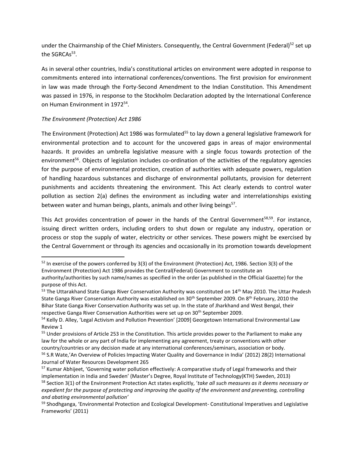under the Chairmanship of the Chief Ministers. Consequently, the Central Government (Federal)<sup>52</sup> set up the SGRCAs<sup>53</sup>.

As in several other countries, India's constitutional articles on environment were adopted in response to commitments entered into international conferences/conventions. The first provision for environment in law was made through the Forty-Second Amendment to the Indian Constitution. This Amendment was passed in 1976, in response to the Stockholm Declaration adopted by the International Conference on Human Environment in 1972<sup>54</sup>.

#### *The Environment (Protection) Act 1986*

 $\overline{\phantom{0}}$ 

The Environment (Protection) Act 1986 was formulated<sup>55</sup> to lay down a general legislative framework for environmental protection and to account for the uncovered gaps in areas of major environmental hazards. It provides an umbrella legislative measure with a single focus towards protection of the environment<sup>56</sup>. Objects of legislation includes co-ordination of the activities of the regulatory agencies for the purpose of environmental protection, creation of authorities with adequate powers, regulation of handling hazardous substances and discharge of environmental pollutants, provision for deterrent punishments and accidents threatening the environment. This Act clearly extends to control water pollution as section 2(a) defines the environment as including water and interrelationships existing between water and human beings, plants, animals and other living beings<sup>57</sup>.

<span id="page-9-0"></span>This Act provides concentration of power in the hands of the Central Government<sup>58,59</sup>. For instance, issuing direct written orders, including orders to shut down or regulate any industry, operation or process or stop the supply of water, electricity or other services. These powers might be exercised by the Central Government or through its agencies and occasionally in its promotion towards development

<sup>&</sup>lt;sup>52</sup> In exercise of the powers conferred by 3(3) of the Environment (Protection) Act, 1986. Section 3(3) of the Environment (Protection) Act 1986 provides the Central(Federal) Government to constitute an authority/authorities by such name/names as specified in the order (as published in the Official Gazette) for the purpose of this Act.

<sup>&</sup>lt;sup>53</sup> The Uttarakhand State Ganga River Conservation Authority was constituted on 14<sup>th</sup> May 2010. The Uttar Pradesh State Ganga River Conservation Authority was established on 30<sup>th</sup> September 2009. On 8<sup>th</sup> February, 2010 the Bihar State Ganga River Conservation Authority was set up. In the state of Jharkhand and West Bengal, their respective Ganga River Conservation Authorities were set up on 30th September 2009.

<sup>54</sup> Kelly D. Alley, 'Legal Activism and Pollution Prevention' [2009] Georgetown International Environmental Law Review 1

<sup>55</sup> Under provisions of Article 253 in the Constitution. This article provides power to the Parliament to make any law for the whole or any part of India for implementing any agreement, treaty or conventions with other country/countries or any decision made at any international conferences/seminars, association or body. <sup>56</sup> S.R Wate,'An Overview of Policies Impacting Water Quality and Governance in India' (2012) 28(2) International Journal of Water Resources Development 265

<sup>&</sup>lt;sup>57</sup> Kumar Abhijeet, 'Governing water pollution effectively: A comparative study of Legal frameworks and their implementation in India and Sweden' (Master's Degree, Royal Institute of Technology(KTH) Sweden, 2013) <sup>58</sup> Section 3(1) of the Environment Protection Act states explicitly, '*take all such measures as it deems necessary or expedient for the purpose of protecting and improving the quality of the environment and preventing, controlling and abating environmental pollution'*

<sup>&</sup>lt;sup>59</sup> Shodhganga, 'Environmental Protection and Ecological Development- Constitutional Imperatives and Legislative Frameworks' (2011)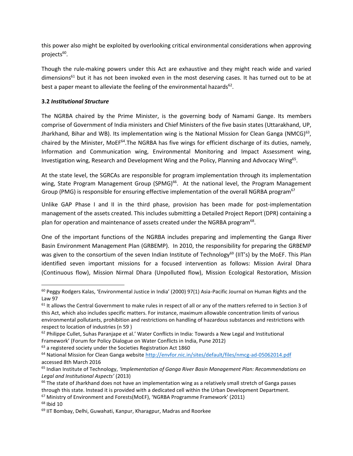this power also might be exploited by overlooking critical environmental considerations when approving projects<sup>60</sup>.

Though the rule-making powers under this Act are exhaustive and they might reach wide and varied  $dimensions<sup>61</sup>$  but it has not been invoked even in the most deserving cases. It has turned out to be at best a paper meant to alleviate the feeling of the environmental hazards $^{62}$ .

#### **3.2** *Institutional Structure*

The NGRBA chaired by the Prime Minister, is the governing body of Namami Gange. Its members comprise of Government of India ministers and Chief Ministers of the five basin states (Uttarakhand, UP, Jharkhand, Bihar and WB). Its implementation wing is the National Mission for Clean Ganga (NMCG)<sup>63</sup>, chaired by the Minister, MoEF<sup>64</sup>.The NGRBA has five wings for efficient discharge of its duties, namely, Information and Communication wing, Environmental Monitoring and Impact Assessment wing, Investigation wing, Research and Development Wing and the Policy, Planning and Advocacy Wing<sup>65</sup>.

At the state level, the SGRCAs are responsible for program implementation through its implementation wing, State Program Management Group (SPMG)<sup>66</sup>. At the national level, the Program Management Group (PMG) is responsible for ensuring effective implementation of the overall NGRBA program<sup>67</sup>

Unlike GAP Phase I and II in the third phase, provision has been made for post-implementation management of the assets created. This includes submitting a Detailed Project Report (DPR) containing a plan for operation and maintenance of assets created under the NGRBA program<sup>68</sup>.

One of the important functions of the NGRBA includes preparing and implementing the Ganga River Basin Environment Management Plan (GRBEMP). In 2010, the responsibility for preparing the GRBEMP was given to the consortium of the seven Indian Institute of Technology<sup>69</sup> (IIT's) by the MoEF. This Plan identified seven important missions for a focused intervention as follows: Mission Aviral Dhara (Continuous flow), Mission Nirmal Dhara (Unpolluted flow), Mission Ecological Restoration, Mission

 $63$  a registered society under the Societies Registration Act 1860

l

<sup>&</sup>lt;sup>60</sup> Peggy Rodgers Kalas, 'Environmental Justice in India' (2000) 97(1) Asia-Pacific Journal on Human Rights and the Law 97

 $61$  It allows the Central Government to make rules in respect of all or any of the matters referred to in Section 3 of this Act, which also includes specific matters. For instance, maximum allowable concentration limits of various environmental pollutants, prohibition and restrictions on handling of hazardous substances and restrictions with respect to location of industries ([n 59](#page-9-0) )

 $62$  Philippe Cullet, Suhas Paranjape et al.' Water Conflicts in India: Towards a New Legal and Institutional Framework' (Forum for Policy Dialogue on Water Conflicts in India, Pune 2012)

<sup>&</sup>lt;sup>64</sup> National Mission for Clean Ganga websit[e http://envfor.nic.in/sites/default/files/nmcg-ad-05062014.pdf](http://envfor.nic.in/sites/default/files/nmcg-ad-05062014.pdf) accessed 8th March 2016

<sup>65</sup> Indian Institute of Technology, *'Implementation of Ganga River Basin Management Plan: Recommendations on Legal and Institutional Aspects'* (2013)

 $66$  The state of Jharkhand does not have an implementation wing as a relatively small stretch of Ganga passes through this state. Instead it is provided with a dedicated cell within the Urban Development Department.

<sup>67</sup> Ministry of Environment and Forests(MoEF), 'NGRBA Programme Framework' (2011)

<sup>68</sup> Ibid 10

<sup>&</sup>lt;sup>69</sup> IIT Bombay, Delhi, Guwahati, Kanpur, Kharagpur, Madras and Roorkee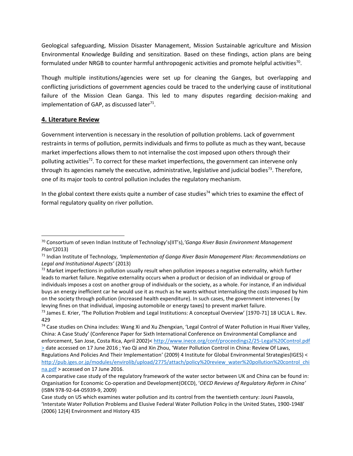Geological safeguarding, Mission Disaster Management, Mission Sustainable agriculture and Mission Environmental Knowledge Building and sensitization. Based on these findings, action plans are being formulated under NRGB to counter harmful anthropogenic activities and promote helpful activities<sup>70</sup>.

Though multiple institutions/agencies were set up for cleaning the Ganges, but overlapping and conflicting jurisdictions of government agencies could be traced to the underlying cause of institutional failure of the Mission Clean Ganga. This led to many disputes regarding decision-making and implementation of GAP, as discussed later $71$ .

# **4. Literature Review**

l

Government intervention is necessary in the resolution of pollution problems. Lack of government restraints in terms of pollution, permits individuals and firms to pollute as much as they want, because market imperfections allows them to not internalise the cost imposed upon others through their polluting activities<sup>72</sup>. To correct for these market imperfections, the government can intervene only through its agencies namely the executive, administrative, legislative and judicial bodies<sup>73</sup>. Therefore, one of its major tools to control pollution includes the regulatory mechanism.

<span id="page-11-0"></span>In the global context there exists quite a number of case studies<sup>74</sup> which tries to examine the effect of formal regulatory quality on river pollution.

<sup>70</sup> Consortium of seven Indian Institute of Technology's(IIT's),*'Ganga River Basin Environment Management Plan'*(2013)

<sup>71</sup> Indian Institute of Technology, *'Implementation of Ganga River Basin Management Plan: Recommendations on Legal and Institutional Aspects'* (2013)

 $72$  Market imperfections in pollution usually result when pollution imposes a negative externality, which further leads to market failure. Negative externality occurs when a product or decision of an individual or group of individuals imposes a cost on another group of individuals or the society, as a whole. For instance, if an individual buys an energy inefficient car he would use it as much as he wants without internalising the costs imposed by him on the society through pollution (increased health expenditure). In such cases, the government intervenes ( by levying fines on that individual, imposing automobile or energy taxes) to prevent market failure.

<sup>&</sup>lt;sup>73</sup> James E. Krier, 'The Pollution Problem and Legal Institutions: A conceptual Overview' [1970-71] 18 UCLA L. Rev. 429

<sup>74</sup> Case studies on China includes: Wang Xi and Xu Zhengxian, 'Legal Control of Water Pollution in Huai River Valley, China: A Case Study' (Conference Paper for Sixth International Conference on Environmental Compliance and enforcement, San Jose, Costa Rica, April 2002)< http://www.inece.org/conf/proceedings2/25-Legal%20Control.pdf > date accessed on 17 June 2016 ; Yao Qi and Xin Zhou, 'Water Pollution Control in China: Review Of Laws, Regulations And Policies And Their Implementation' (2009) 4 Institute for Global Environmental Strategies(IGES) < [http://pub.iges.or.jp/modules/envirolib/upload/2775/attach/policy%20review\\_water%20pollution%20control\\_chi](http://pub.iges.or.jp/modules/envirolib/upload/2775/attach/policy%20review_water%20pollution%20control_china.pdf) [na.pdf](http://pub.iges.or.jp/modules/envirolib/upload/2775/attach/policy%20review_water%20pollution%20control_china.pdf) > accessed on 17 June 2016.

A comparative case study of the regulatory framework of the water sector between UK and China can be found in: Organisation for Economic Co-operation and Development(OECD), '*OECD Reviews of Regulatory Reform in China'* (ISBN 978-92-64-05939-9, 2009)

Case study on US which examines water pollution and its control from the twentieth century: Jouni Paavola, 'Interstate Water Pollution Problems and Elusive Federal Water Pollution Policy in the United States, 1900-1948' (2006) 12(4) Environment and History 435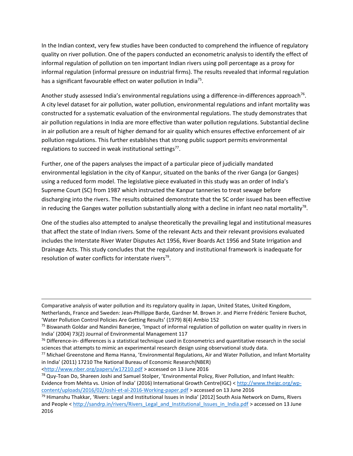In the Indian context, very few studies have been conducted to comprehend the influence of regulatory quality on river pollution. One of the papers conducted an econometric analysis to identify the effect of informal regulation of pollution on ten important Indian rivers using poll percentage as a proxy for informal regulation (informal pressure on industrial firms). The results revealed that informal regulation has a significant favourable effect on water pollution in India<sup>75</sup>.

Another study assessed India's environmental regulations using a difference-in-differences approach<sup>76</sup>. A city level dataset for air pollution, water pollution, environmental regulations and infant mortality was constructed for a systematic evaluation of the environmental regulations. The study demonstrates that air pollution regulations in India are more effective than water pollution regulations. Substantial decline in air pollution are a result of higher demand for air quality which ensures effective enforcement of air pollution regulations. This further establishes that strong public support permits environmental regulations to succeed in weak institutional settings<sup>77</sup>.

<span id="page-12-0"></span>Further, one of the papers analyses the impact of a particular piece of judicially mandated environmental legislation in the city of Kanpur, situated on the banks of the river Ganga (or Ganges) using a reduced form model. The legislative piece evaluated in this study was an order of India's Supreme Court (SC) from 1987 which instructed the Kanpur tanneries to treat sewage before discharging into the rivers. The results obtained demonstrate that the SC order issued has been effective in reducing the Ganges water pollution substantially along with a decline in infant neo natal mortality<sup>78</sup>.

One of the studies also attempted to analyse theoretically the prevailing legal and institutional measures that affect the state of Indian rivers. Some of the relevant Acts and their relevant provisions evaluated includes the Interstate River Water Disputes Act 1956, River Boards Act 1956 and State Irrigation and Drainage Acts. This study concludes that the regulatory and institutional framework is inadequate for resolution of water conflicts for interstate rivers<sup>79</sup>.

Comparative analysis of water pollution and its regulatory quality in Japan, United States, United Kingdom,

l

Netherlands, France and Sweden: Jean-Phillippe Barde, Gardner M. Brown Jr. and Pierre Frédéric Teniere Buchot, 'Water Pollution Control Policies Are Getting Results' (1979) 8(4) Ambio 152

<sup>75</sup> Biswanath Goldar and Nandini Banerjee, 'Impact of informal regulation of pollution on water quality in rivers in India' (2004) 73(2) Journal of Environmental Management 117

 $76$  Difference-in- differences is a statistical technique used in Econometrics and quantitative research in the social sciences that attempts to mimic an experimental research design using observational study data.

<sup>77</sup> Michael Greenstone and Rema Hanna, 'Environmental Regulations, Air and Water Pollution, and Infant Mortality in India' (2011) 17210 The National Bureau of Economic Research(NBER)

[<sup>&</sup>lt;http://www.nber.org/papers/w17210.pdf >](http://www.nber.org/papers/w17210.pdf) accessed on 13 June 2016

<sup>&</sup>lt;sup>78</sup> Quy-Toan Do, Shareen Joshi and Samuel Stolper, 'Environmental Policy, River Pollution, and Infant Health: Evidence from Mehta vs. Union of India' (2016) International Growth Centre(IGC) < [http://www.theigc.org/wp](http://www.theigc.org/wp-content/uploads/2016/02/Joshi-et-al-2016-Working-paper.pdf)[content/uploads/2016/02/Joshi-et-al-2016-Working-paper.pdf](http://www.theigc.org/wp-content/uploads/2016/02/Joshi-et-al-2016-Working-paper.pdf) > accessed on 13 June 2016

<sup>79</sup> Himanshu Thakkar, 'Rivers: Legal and Institutional Issues in India' [2012] South Asia Network on Dams, Rivers and People < [http://sandrp.in/rivers/Rivers\\_Legal\\_and\\_Institutional\\_Issues\\_in\\_India.pdf](http://sandrp.in/rivers/Rivers_Legal_and_Institutional_Issues_in_India.pdf) > accessed on 13 June 2016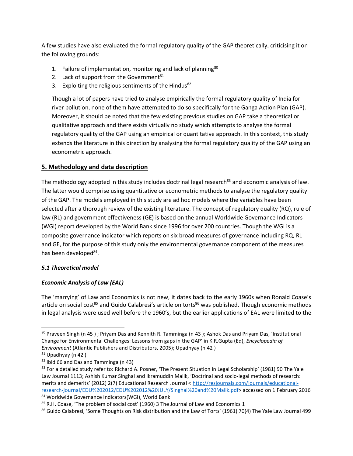A few studies have also evaluated the formal regulatory quality of the GAP theoretically, criticising it on the following grounds:

- 1. Failure of implementation, monitoring and lack of planning<sup>80</sup>
- 2. Lack of support from the Government<sup>81</sup>
- 3. Exploiting the religious sentiments of the Hindus<sup>82</sup>

Though a lot of papers have tried to analyse empirically the formal regulatory quality of India for river pollution, none of them have attempted to do so specifically for the Ganga Action Plan (GAP). Moreover, it should be noted that the few existing previous studies on GAP take a theoretical or qualitative approach and there exists virtually no study which attempts to analyse the formal regulatory quality of the GAP using an empirical or quantitative approach. In this context, this study extends the literature in this direction by analysing the formal regulatory quality of the GAP using an econometric approach.

# **5. Methodology and data description**

The methodology adopted in this study includes doctrinal legal research<sup>83</sup> and economic analysis of law. The latter would comprise using quantitative or econometric methods to analyse the regulatory quality of the GAP. The models employed in this study are ad hoc models where the variables have been selected after a thorough review of the existing literature. The concept of regulatory quality (RQ), rule of law (RL) and government effectiveness (GE) is based on the annual Worldwide Governance Indicators (WGI) report developed by the World Bank since 1996 for over 200 countries. Though the WGI is a composite governance indicator which reports on six broad measures of governance including RQ, RL and GE, for the purpose of this study only the environmental governance component of the measures has been developed<sup>84</sup>.

# *5.1 Theoretical model*

# *Economic Analysis of Law (EAL)*

<span id="page-13-1"></span><span id="page-13-0"></span>The 'marrying' of Law and Economics is not new, it dates back to the early 1960s when Ronald Coase's article on social cost<sup>85</sup> and Guido Calabresi's article on torts<sup>86</sup> was published. Though economic methods in legal analysis were used well before the 1960's, but the earlier applications of EAL were limited to the

l

<sup>80</sup> Praveen Singh (n 45); Priyam Das and Kennith R. Tamminga (n [43](#page-7-0)); Ashok Das and Priyam Das, 'Institutional Change for Environmental Challenges: Lessons from gaps in the GAP' in K.R.Gupta (Ed), *Encyclopedia of Environment* (Atlantic Publishers and Distributors, 2005); Upadhyay (n [42](#page-7-1) )

 $81$  Upadhyay (n 42)

<sup>82</sup> Ibid 66 and Das and Tamminga ([n 43\)](#page-7-0)

<sup>83</sup> For a detailed study refer to: Richard A. Posner, 'The Present Situation in Legal Scholarship' (1981) 90 The Yale Law Journal 1113; Ashish Kumar Singhal and Ikramuddin Malik, 'Doctrinal and socio-legal methods of research: merits and demerits' (2012) 2(7) Educational Research Journal < [http://resjournals.com/journals/educational](http://resjournals.com/journals/educational-research-journal/EDU%202012/EDU%202012%20JULY/Singhal%20and%20Malik.pdf)[research-journal/EDU%202012/EDU%202012%20JULY/Singhal%20and%20Malik.pdf>](http://resjournals.com/journals/educational-research-journal/EDU%202012/EDU%202012%20JULY/Singhal%20and%20Malik.pdf) accessed on 1 February 2016 <sup>84</sup> Worldwide Governance Indicators(WGI), World Bank

 $85$  R.H. Coase, 'The problem of social cost' (1960) 3 The Journal of Law and Economics 1

<sup>86</sup> Guido Calabresi, 'Some Thoughts on Risk distribution and the Law of Torts' (1961) 70(4) The Yale Law Journal 499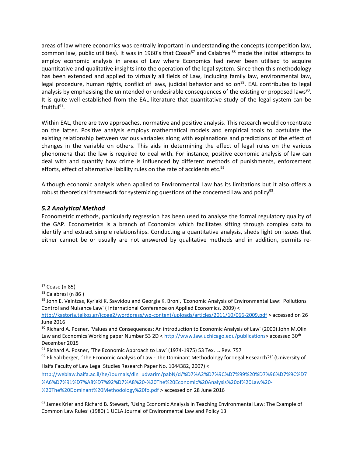areas of law where economics was centrally important in understanding the concepts (competition law, common law, public utilities). It was in 1960's that Coase $^{87}$  and Calabresi $^{88}$  made the initial attempts to employ economic analysis in areas of Law where Economics had never been utilised to acquire quantitative and qualitative insights into the operation of the legal system. Since then this methodology has been extended and applied to virtually all fields of Law, including family law, environmental law, legal procedure, human rights, conflict of laws, judicial behavior and so on<sup>89</sup>. EAL contributes to legal analysis by emphasising the unintended or undesirable consequences of the existing or proposed laws<sup>90</sup>. It is quite well established from the EAL literature that quantitative study of the legal system can be fruitful<sup>91</sup>.

Within EAL, there are two approaches, normative and positive analysis. This research would concentrate on the latter. Positive analysis employs mathematical models and empirical tools to postulate the existing relationship between various variables along with explanations and predictions of the effect of changes in the variable on others. This aids in determining the effect of legal rules on the various phenomena that the law is required to deal with. For instance, positive economic analysis of law can deal with and quantify how crime is influenced by different methods of punishments, enforcement efforts, effect of alternative liability rules on the rate of accidents etc. $92$ 

Although economic analysis when applied to Environmental Law has its limitations but it also offers a robust theoretical framework for systemizing questions of the concerned Law and policy<sup>93</sup>.

#### *5.2 Analytical Method*

Econometric methods, particularly regression has been used to analyse the formal regulatory quality of the GAP. Econometrics is a branch of Economics which facilitates sifting through complex data to identify and extract simple relationships. Conducting a quantitative analysis, sheds light on issues that either cannot be or usually are not answered by qualitative methods and in addition, permits re-

 $\overline{a}$ 

[http://weblaw.haifa.ac.il/he/Journals/din\\_udvarim/pabN/d/%D7%A2%D7%9C%D7%99%20%D7%96%D7%9C%D7](http://weblaw.haifa.ac.il/he/Journals/din_udvarim/pabN/d/%D7%A2%D7%9C%D7%99%20%D7%96%D7%9C%D7%A6%D7%91%D7%A8%D7%92%D7%A8%20-%20The%20Economic%20Analysis%20of%20Law%20-%20The%20Dominant%20Methodology%20fo.pdf) [%A6%D7%91%D7%A8%D7%92%D7%A8%20-%20The%20Economic%20Analysis%20of%20Law%20-](http://weblaw.haifa.ac.il/he/Journals/din_udvarim/pabN/d/%D7%A2%D7%9C%D7%99%20%D7%96%D7%9C%D7%A6%D7%91%D7%A8%D7%92%D7%A8%20-%20The%20Economic%20Analysis%20of%20Law%20-%20The%20Dominant%20Methodology%20fo.pdf) [%20The%20Dominant%20Methodology%20fo.pdf >](http://weblaw.haifa.ac.il/he/Journals/din_udvarim/pabN/d/%D7%A2%D7%9C%D7%99%20%D7%96%D7%9C%D7%A6%D7%91%D7%A8%D7%92%D7%A8%20-%20The%20Economic%20Analysis%20of%20Law%20-%20The%20Dominant%20Methodology%20fo.pdf) accessed on 28 June 2016

<sup>87</sup> Coase (n [85\)](#page-13-0)

<sup>88</sup> Calabresi (n [86](#page-13-1) )

<sup>89</sup> John E. Velntzas, Kyriaki K. Savvidou and Georgia K. Broni, 'Economic Analysis of Environmental Law: Pollutions Control and Nuisance Law' ( International Conference on Applied Economics, 2009) <

[http://kastoria.teikoz.gr/icoae2/wordpress/wp-content/uploads/articles/2011/10/066-2009.pdf >](http://kastoria.teikoz.gr/icoae2/wordpress/wp-content/uploads/articles/2011/10/066-2009.pdf) accessed on 26 June 2016

<sup>90</sup> Richard A. Posner, 'Values and Consequences: An introduction to Economic Analysis of Law' (2000) John M.Olin Law and Economics Working paper Number 53 2D < [http://www.law.uchicago.edu/publications>](http://www.law.uchicago.edu/publications) accessed 30<sup>th</sup> December 2015

 $91$  Richard A. Posner, 'The Economic Approach to Law' (1974-1975) 53 Tex. L. Rev. 757

<sup>&</sup>lt;sup>92</sup> Eli Salzberger, 'The Economic Analysis of Law - The Dominant Methodology for Legal Research?!' (University of Haifa Faculty of Law Legal Studies Research Paper No. 1044382, 2007) <

<sup>&</sup>lt;sup>93</sup> James Krier and Richard B. Stewart, 'Using Economic Analysis in Teaching Environmental Law: The Example of Common Law Rules' (1980) 1 UCLA Journal of Environmental Law and Policy 13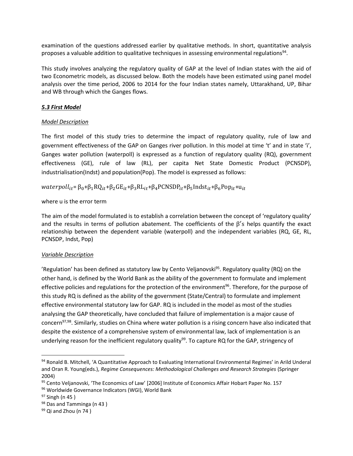examination of the questions addressed earlier by qualitative methods. In short, quantitative analysis proposes a valuable addition to qualitative techniques in assessing environmental regulations<sup>94</sup>.

This study involves analyzing the regulatory quality of GAP at the level of Indian states with the aid of two Econometric models, as discussed below. Both the models have been estimated using panel model analysis over the time period, 2006 to 2014 for the four Indian states namely, Uttarakhand, UP, Bihar and WB through which the Ganges flows.

# *5.3 First Model*

# *Model Description*

The first model of this study tries to determine the impact of regulatory quality, rule of law and government effectiveness of the GAP on Ganges river pollution. In this model at time 't' and in state 'i', Ganges water pollution (waterpoll) is expressed as a function of regulatory quality (RQ), government effectiveness (GE), rule of law (RL), per capita Net State Domestic Product (PCNSDP), industrialisation(Indst) and population(Pop). The model is expressed as follows:

 $water poll_{it} = \beta_0 + \beta_1 RQ_{it} + \beta_2 GE_{it} + \beta_3 RL_{it} + \beta_4 PCNSDP_{it} + \beta_5 Indst_{it} + \beta_6 Pop_{it} + u_{it}$ 

where u is the error term

The aim of the model formulated is to establish a correlation between the concept of 'regulatory quality' and the results in terms of pollution abatement. The coefficients of the  $\beta'$ s helps quantify the exact relationship between the dependent variable (waterpoll) and the independent variables (RQ, GE, RL, PCNSDP, Indst, Pop)

# *Variable Description*

'Regulation' has been defined as statutory law by Cento Veljanovski<sup>95</sup>. Regulatory quality (RQ) on the other hand, is defined by the World Bank as the ability of the government to formulate and implement effective policies and regulations for the protection of the environment<sup>96</sup>. Therefore, for the purpose of this study RQ is defined as the ability of the government (State/Central) to formulate and implement effective environmental statutory law for GAP. RQ is included in the model as most of the studies analysing the GAP theoretically, have concluded that failure of implementation is a major cause of concern<sup>97,98</sup>. Similarly, studies on China where water pollution is a rising concern have also indicated that despite the existence of a comprehensive system of environmental law, lack of implementation is an underlying reason for the inefficient regulatory quality<sup>99</sup>. To capture RQ for the GAP, stringency of

 $\overline{a}$ 

<sup>94</sup> Ronald B. Mitchell, 'A Quantitative Approach to Evaluating International Environmental Regimes' in Arild Underal and Oran R. Young(eds.), *Regime Consequences: Methodological Challenges and Research Strategies* (Springer 2004)

<sup>95</sup> Cento Veljanovski, 'The Economics of Law' [2006] Institute of Economics Affair Hobart Paper No. 157

<sup>96</sup> Worldwide Governance Indicators (WGI), World Bank

 $97$  Singh (n 45)

<sup>98</sup> Das and Tamminga (n 43)

 $99$  Qi and Zhou (n 74)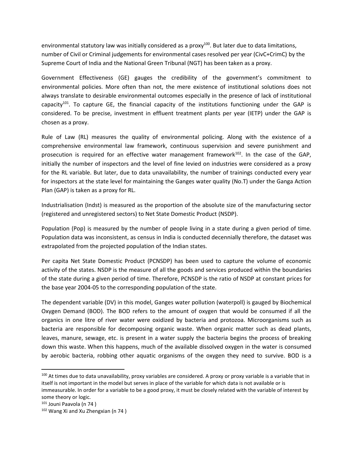environmental statutory law was initially considered as a proxy $100$ . But later due to data limitations, number of Civil or Criminal judgements for environmental cases resolved per year (CivC+CrimC) by the Supreme Court of India and the National Green Tribunal (NGT) has been taken as a proxy.

Government Effectiveness (GE) gauges the credibility of the government's commitment to environmental policies. More often than not, the mere existence of institutional solutions does not always translate to desirable environmental outcomes especially in the presence of lack of institutional capacity<sup>101</sup>. To capture GE, the financial capacity of the institutions functioning under the GAP is considered. To be precise, investment in effluent treatment plants per year (IETP) under the GAP is chosen as a proxy.

Rule of Law (RL) measures the quality of environmental policing. Along with the existence of a comprehensive environmental law framework, continuous supervision and severe punishment and prosecution is required for an effective water management framework<sup>102</sup>. In the case of the GAP, initially the number of inspectors and the level of fine levied on industries were considered as a proxy for the RL variable. But later, due to data unavailability, the number of trainings conducted every year for inspectors at the state level for maintaining the Ganges water quality (No.T) under the Ganga Action Plan (GAP) is taken as a proxy for RL.

Industrialisation (Indst) is measured as the proportion of the absolute size of the manufacturing sector (registered and unregistered sectors) to Net State Domestic Product (NSDP).

Population (Pop) is measured by the number of people living in a state during a given period of time. Population data was inconsistent, as census in India is conducted decennially therefore, the dataset was extrapolated from the projected population of the Indian states.

Per capita Net State Domestic Product (PCNSDP) has been used to capture the volume of economic activity of the states. NSDP is the measure of all the goods and services produced within the boundaries of the state during a given period of time. Therefore, PCNSDP is the ratio of NSDP at constant prices for the base year 2004-05 to the corresponding population of the state.

The dependent variable (DV) in this model, Ganges water pollution (waterpoll) is gauged by Biochemical Oxygen Demand (BOD). The BOD refers to the amount of oxygen that would be consumed if all the organics in one litre of river water were oxidized by bacteria and protozoa. Microorganisms such as bacteria are responsible for decomposing organic waste. When organic matter such as dead plants, leaves, manure, sewage, etc. is present in a water supply the bacteria begins the process of breaking down this waste. When this happens, much of the available dissolved oxygen in the water is consumed by aerobic bacteria, robbing other aquatic organisms of the oxygen they need to survive. BOD is a

 $\overline{\phantom{0}}$ 

<sup>&</sup>lt;sup>100</sup> At times due to data unavailability, proxy variables are considered. A proxy or proxy variable is a variable that in itself is not important in the model but serves in place of the variable for which data is not available or is

immeasurable. In order for a variable to be a good proxy, it must be closely related with the variable of interest by some theory or logic.

<sup>101</sup> Jouni Paavola (n [74](#page-11-0) )

<sup>102</sup> Wang Xi and Xu Zhengxian (n 74)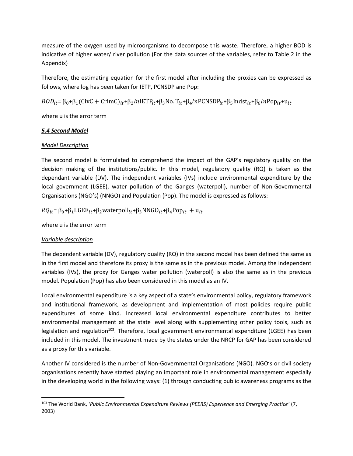measure of the oxygen used by microorganisms to decompose this waste. Therefore, a higher BOD is indicative of higher water/ river pollution (For the data sources of the variables, refer to Table 2 in the Appendix)

Therefore, the estimating equation for the first model after including the proxies can be expressed as follows, where log has been taken for IETP, PCNSDP and Pop:

 $BOD_{it} = \beta_0 + \beta_1(\text{CivC + CrimC})_{it} + \beta_2ln\text{IETP}_{it} + \beta_3\text{No.}$   $T_{it} + \beta_4ln\text{PCNSDP}_{it} + \beta_5\text{Indst}_{it} + \beta_6ln\text{Pop}_{it} + u_{it}$ 

where u is the error term

#### *5.4 Second Model*

# *Model Description*

The second model is formulated to comprehend the impact of the GAP's regulatory quality on the decision making of the institutions/public. In this model, regulatory quality (RQ) is taken as the dependant variable (DV). The independent variables (IVs) include environmental expenditure by the local government (LGEE), water pollution of the Ganges (waterpoll), number of Non-Governmental Organisations (NGO's) (NNGO) and Population (Pop). The model is expressed as follows:

 $RQ_{it} = \beta_0 + \beta_1 L GEE_{it} + \beta_2 w \text{aterpoll}_{it} + \beta_3 NNGO_{it} + \beta_4 Pop_{it} + u_{it}$ 

where u is the error term

# *Variable description*

l

The dependent variable (DV), regulatory quality (RQ) in the second model has been defined the same as in the first model and therefore its proxy is the same as in the previous model. Among the independent variables (IVs), the proxy for Ganges water pollution (waterpoll) is also the same as in the previous model. Population (Pop) has also been considered in this model as an IV.

Local environmental expenditure is a key aspect of a state's environmental policy, regulatory framework and institutional framework, as development and implementation of most policies require public expenditures of some kind. Increased local environmental expenditure contributes to better environmental management at the state level along with supplementing other policy tools, such as legislation and regulation<sup>103</sup>. Therefore, local government environmental expenditure (LGEE) has been included in this model. The investment made by the states under the NRCP for GAP has been considered as a proxy for this variable.

Another IV considered is the number of Non-Governmental Organisations (NGO). NGO's or civil society organisations recently have started playing an important role in environmental management especially in the developing world in the following ways: (1) through conducting public awareness programs as the

<sup>103</sup> The World Bank, *'Public Environmental Expenditure Reviews (PEERS) Experience and Emerging Practice'* (7, 2003)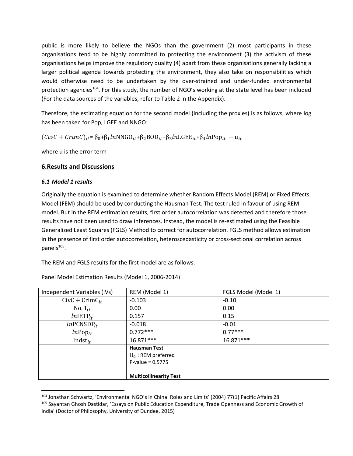public is more likely to believe the NGOs than the government (2) most participants in these organisations tend to be highly committed to protecting the environment (3) the activism of these organisations helps improve the regulatory quality (4) apart from these organisations generally lacking a larger political agenda towards protecting the environment, they also take on responsibilities which would otherwise need to be undertaken by the over-strained and under-funded environmental protection agencies<sup>104</sup>. For this study, the number of NGO's working at the state level has been included (For the data sources of the variables, refer to Table 2 in the Appendix).

Therefore, the estimating equation for the second model (including the proxies) is as follows, where log has been taken for Pop, LGEE and NNGO:

 $(CivC + CrimC)_{it} = \beta_0 + \beta_1 lnNNGO_{it} + \beta_2 BOD_{it} + \beta_3 lnLGEE_{it} + \beta_4 lnPop_{it} + u_{it}$ 

where u is the error term

#### **6.Results and Discussions**

#### *6.1 Model 1 results*

 $\overline{a}$ 

Originally the equation is examined to determine whether Random Effects Model (REM) or Fixed Effects Model (FEM) should be used by conducting the Hausman Test. The test ruled in favour of using REM model. But in the REM estimation results, first order autocorrelation was detected and therefore those results have not been used to draw inferences. Instead, the model is re-estimated using the Feasible Generalized Least Squares (FGLS) Method to correct for autocorrelation. FGLS method allows estimation in the presence of first order autocorrelation, heteroscedasticity or cross-sectional correlation across panels<sup>105</sup>.

The REM and FGLS results for the first model are as follows:

| Independent Variables (IVs) | REM (Model 1)                 | FGLS Model (Model 1) |
|-----------------------------|-------------------------------|----------------------|
| $CivC + CrimC_{it}$         | $-0.103$                      | $-0.10$              |
| No. $T_{it}$                | 0.00 <sub>1</sub>             | 0.00                 |
| $ln$ IETP <sub>it</sub>     | 0.157                         | 0.15                 |
| $ln$ PCNSDP <sub>it</sub>   | $-0.018$                      | $-0.01$              |
| $ln$ Pop $_{it}$            | $0.772***$                    | $0.77***$            |
| Indst $_{it}$               | 16.871***                     | $16.871***$          |
|                             | <b>Hausman Test</b>           |                      |
|                             | $H_0$ : REM preferred         |                      |
|                             | $P-value = 0.5775$            |                      |
|                             |                               |                      |
|                             | <b>Multicollinearity Test</b> |                      |

Panel Model Estimation Results (Model 1, 2006-2014)

<sup>104</sup> Jonathan Schwartz, 'Environmental NGO's in China: Roles and Limits' (2004) 77(1) Pacific Affairs 28 <sup>105</sup> Sayantan Ghosh Dastidar, 'Essays on Public Education Expenditure, Trade Openness and Economic Growth of India' (Doctor of Philosophy, University of Dundee, 2015)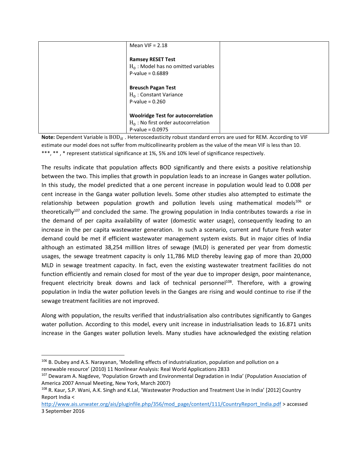| Mean VIF $= 2.18$                                                                                         |  |
|-----------------------------------------------------------------------------------------------------------|--|
| <b>Ramsey RESET Test</b><br>$H_0$ : Model has no omitted variables<br>$P-value = 0.6889$                  |  |
| <b>Breusch Pagan Test</b><br>$H_0$ : Constant Variance<br>P-value = $0.260$                               |  |
| <b>Woolridge Test for autocorrelation</b><br>$H_0$ : No first order autocorrelation<br>$P-value = 0.0975$ |  |

**Note:** Dependent Variable is  $BOD_{it}$ . Heteroscedasticity robust standard errors are used for REM. According to VIF estimate our model does not suffer from multicollinearity problem as the value of the mean VIF is less than 10. \*\*\*, \*\* , \* represent statistical significance at 1%, 5% and 10% level of significance respectively.

The results indicate that population affects BOD significantly and there exists a positive relationship between the two. This implies that growth in population leads to an increase in Ganges water pollution. In this study, the model predicted that a one percent increase in population would lead to 0.008 per cent increase in the Ganga water pollution levels. Some other studies also attempted to estimate the relationship between population growth and pollution levels using mathematical models<sup>106</sup> or theoretically<sup>107</sup> and concluded the same. The growing population in India contributes towards a rise in the demand of per capita availability of water (domestic water usage), consequently leading to an increase in the per capita wastewater generation. In such a scenario, current and future fresh water demand could be met if efficient wastewater management system exists. But in major cities of India although an estimated 38,254 milllion litres of sewage (MLD) is generated per year from domestic usages, the sewage treatment capacity is only 11,786 MLD thereby leaving gap of more than 20,000 MLD in sewage treatment capacity. In fact, even the existing wastewater treatment facilities do not function efficiently and remain closed for most of the year due to improper design, poor maintenance, frequent electricity break downs and lack of technical personnel<sup>108</sup>. Therefore, with a growing population in India the water pollution levels in the Ganges are rising and would continue to rise if the sewage treatment facilities are not improved.

<span id="page-19-0"></span>Along with population, the results verified that industrialisation also contributes significantly to Ganges water pollution. According to this model, every unit increase in industrialisation leads to 16.871 units increase in the Ganges water pollution levels. Many studies have acknowledged the existing relation

 $\overline{a}$ 

<sup>106</sup> B. Dubey and A.S. Narayanan, 'Modelling effects of industrialization, population and pollution on a renewable resource' (2010) 11 Nonlinear Analysis: Real World Applications 2833

<sup>&</sup>lt;sup>107</sup> Dewaram A. Nagdeve, 'Population Growth and Environmental Degradation in India' (Population Association of America 2007 Annual Meeting, New York, March 2007)

<sup>108</sup> R. Kaur, S.P. Wani, A.K. Singh and K.Lal, 'Wastewater Production and Treatment Use in India' [2012] Country Report India <

[http://www.ais.unwater.org/ais/pluginfile.php/356/mod\\_page/content/111/CountryReport\\_India.pdf](http://www.ais.unwater.org/ais/pluginfile.php/356/mod_page/content/111/CountryReport_India.pdf) > accessed 3 September 2016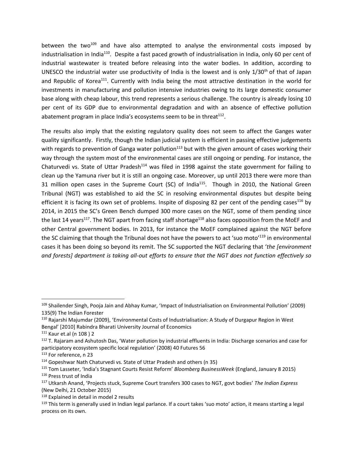between the two<sup>109</sup> and have also attempted to analyse the environmental costs imposed by industrialisation in India<sup>110</sup>. Despite a fast paced growth of industrialisation in India, only 60 per cent of industrial wastewater is treated before releasing into the water bodies. In addition, according to UNESCO the industrial water use productivity of India is the lowest and is only  $1/30<sup>th</sup>$  of that of Japan and Republic of Korea<sup>111</sup>. Currently with India being the most attractive destination in the world for investments in manufacturing and pollution intensive industries owing to its large domestic consumer base along with cheap labour, this trend represents a serious challenge. The country is already losing 10 per cent of its GDP due to environmental degradation and with an absence of effective pollution abatement program in place India's ecosystems seem to be in threat<sup>112</sup>.

The results also imply that the existing regulatory quality does not seem to affect the Ganges water quality significantly. Firstly, though the Indian judicial system is efficient in passing effective judgements with regards to prevention of Ganga water pollution<sup>113</sup> but with the given amount of cases working their way through the system most of the environmental cases are still ongoing or pending. For instance, the Chaturvedi vs. State of Uttar Pradesh<sup>114</sup> was filed in 1998 against the state government for failing to clean up the Yamuna river but it is still an ongoing case. Moreover, up until 2013 there were more than 31 million open cases in the Supreme Court (SC) of India<sup>115</sup>. Though in 2010, the National Green Tribunal (NGT) was established to aid the SC in resolving environmental disputes but despite being efficient it is facing its own set of problems. Inspite of disposing 82 per cent of the pending cases<sup>116</sup> by 2014, in 2015 the SC's Green Bench dumped 300 more cases on the NGT, some of them pending since the last 14 years<sup>117</sup>. The NGT apart from facing staff shortage<sup>118</sup> also faces opposition from the MoEF and other Central government bodies. In 2013, for instance the MoEF complained against the NGT before the SC claiming that though the Tribunal does not have the powers to act 'suo moto'<sup>119</sup> in environmental cases it has been doing so beyond its remit. The SC supported the NGT declaring that '*the [environment and forests] department is taking all-out efforts to ensure that the NGT does not function effectively so* 

l

<sup>109</sup> Shailender Singh, Pooja Jain and Abhay Kumar, 'Impact of Industrialisation on Environmental Pollution' (2009) 135(9) The Indian Forester

<sup>110</sup> Rajarshi Majumdar (2009), 'Environmental Costs of Industrialisation: A Study of Durgapur Region in West Bengal' [2010] Rabindra Bharati University Journal of Economics

<sup>111</sup> Kaur et.al (n [108](#page-19-0) ) 2

<sup>&</sup>lt;sup>112</sup> T. Rajaram and Ashutosh Das, 'Water pollution by industrial effluents in India: Discharge scenarios and case for participatory ecosystem specific local regulation' (2008) 40 Futures 56

<sup>113</sup> For reference, n [23](#page-4-1)

<sup>114</sup> Gopeshwar Nath Chaturvedi vs. State of Uttar Pradesh and others (n [35\)](#page-6-0)

<sup>115</sup> Tom Lasseter, 'India's Stagnant Courts Resist Reform' *Bloomberg BusinessWeek* (England, January 8 2015) <sup>116</sup> Press trust of India

<sup>117</sup> Utkarsh Anand, 'Projects stuck, Supreme Court transfers 300 cases to NGT, govt bodies' *The Indian Express*  (New Delhi, 21 October 2015)

<sup>118</sup> Explained in detail in model 2 results

 $119$  This term is generally used in Indian legal parlance. If a court takes 'suo moto' action, it means starting a legal process on its own.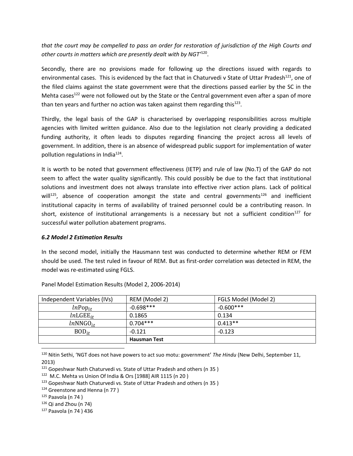*that the court may be compelled to pass an order for restoration of jurisdiction of the High Courts and other courts in matters which are presently dealt with by NGT'*<sup>120</sup> .

Secondly, there are no provisions made for following up the directions issued with regards to environmental cases. This is evidenced by the fact that in Chaturvedi v State of Uttar Pradesh<sup>121</sup>, one of the filed claims against the state government were that the directions passed earlier by the SC in the Mehta cases<sup>122</sup> were not followed out by the State or the Central government even after a span of more than ten years and further no action was taken against them regarding this $^{123}$ .

Thirdly, the legal basis of the GAP is characterised by overlapping responsibilities across multiple agencies with limited written guidance. Also due to the legislation not clearly providing a dedicated funding authority, it often leads to disputes regarding financing the project across all levels of government. In addition, there is an absence of widespread public support for implementation of water pollution regulations in India<sup>124</sup>.

It is worth to be noted that government effectiveness (IETP) and rule of law (No.T) of the GAP do not seem to affect the water quality significantly. This could possibly be due to the fact that institutional solutions and investment does not always translate into effective river action plans. Lack of political will<sup>125</sup>, absence of cooperation amongst the state and central governments<sup>126</sup> and inefficient institutional capacity in terms of availability of trained personnel could be a contributing reason. In short, existence of institutional arrangements is a necessary but not a sufficient condition<sup>127</sup> for successful water pollution abatement programs.

#### *6.2 Model 2 Estimation Results*

In the second model, initially the Hausmann test was conducted to determine whether REM or FEM should be used. The test ruled in favour of REM. But as first-order correlation was detected in REM, the model was re-estimated using FGLS.

| Independent Variables (IVs) | REM (Model 2)       | FGLS Model (Model 2) |
|-----------------------------|---------------------|----------------------|
| $ln \text{Pop}_{it}$        | $-0.698***$         | $-0.600***$          |
| $ln L GEE_{it}$             | 0.1865              | 0.134                |
| $lnNNGO_{it}$               | $0.704***$          | $0.413**$            |
| $BOD_{it}$                  | $-0.121$            | $-0.123$             |
|                             | <b>Hausman Test</b> |                      |
|                             |                     |                      |

Panel Model Estimation Results (Model 2, 2006-2014)

<sup>120</sup> Nitin Sethi, 'NGT does not have powers to act suo motu: government' *The Hindu* (New Delhi, September 11, 2013)

<sup>121</sup> Gopeshwar Nath Chaturvedi vs. State of Uttar Pradesh and others (n 35)

122 M.C. Mehta vs Union Of India & Ors [1988] AIR 1115 ([n 20 \)](#page-4-0)

<sup>123</sup> Gopeshwar Nath Chaturvedi vs. State of Uttar Pradesh and others (n 35)

<sup>124</sup> Greenstone and Henna (n 77)

 $125$  Paavola (n 74)

 $126$  Qi and Zhou (n [74\)](#page-11-0)

<sup>127</sup> Paavola ([n 74 \)](#page-11-0) 436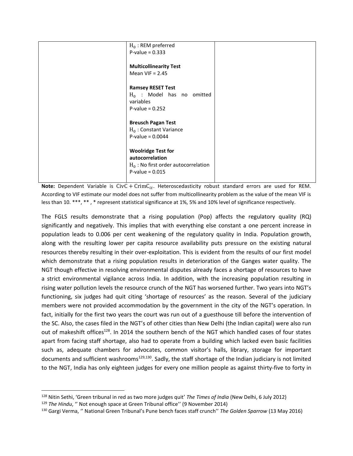| $H_0$ : REM preferred                  |  |
|----------------------------------------|--|
| $P-value = 0.333$                      |  |
|                                        |  |
|                                        |  |
| <b>Multicollinearity Test</b>          |  |
| Mean VIF = $2.45$                      |  |
|                                        |  |
|                                        |  |
| <b>Ramsey RESET Test</b>               |  |
| $H_0$ : Model has no omitted           |  |
| variables                              |  |
|                                        |  |
| $P-value = 0.252$                      |  |
|                                        |  |
| <b>Breusch Pagan Test</b>              |  |
| $H_0$ : Constant Variance              |  |
|                                        |  |
| P-value = $0.0044$                     |  |
|                                        |  |
| <b>Woolridge Test for</b>              |  |
| autocorrelation                        |  |
|                                        |  |
| $H_0$ : No first order autocorrelation |  |
| $P-value = 0.015$                      |  |
|                                        |  |
|                                        |  |

**Note:** Dependent Variable is  $CivC + CrimC_{it}$ . Heteroscedasticity robust standard errors are used for REM. According to VIF estimate our model does not suffer from multicollinearity problem as the value of the mean VIF is less than 10. \*\*\*, \*\* , \* represent statistical significance at 1%, 5% and 10% level of significance respectively.

The FGLS results demonstrate that a rising population (Pop) affects the regulatory quality (RQ) significantly and negatively. This implies that with everything else constant a one percent increase in population leads to 0.006 per cent weakening of the regulatory quality in India. Population growth, along with the resulting lower per capita resource availability puts pressure on the existing natural resources thereby resulting in their over-exploitation. This is evident from the results of our first model which demonstrate that a rising population results in deterioration of the Ganges water quality. The NGT though effective in resolving environmental disputes already faces a shortage of resources to have a strict environmental vigilance across India. In addition, with the increasing population resulting in rising water pollution levels the resource crunch of the NGT has worsened further. Two years into NGT's functioning, six judges had quit citing 'shortage of resources' as the reason. Several of the judiciary members were not provided accommodation by the government in the city of the NGT's operation. In fact, initially for the first two years the court was run out of a guesthouse till before the intervention of the SC. Also, the cases filed in the NGT's of other cities than New Delhi (the Indian capital) were also run out of makeshift offices<sup>128</sup>. In 2014 the southern bench of the NGT which handled cases of four states apart from facing staff shortage, also had to operate from a building which lacked even basic facilities such as, adequate chambers for advocates, common visitor's halls, library, storage for important documents and sufficient washrooms $129,130$ . Sadly, the staff shortage of the Indian judiciary is not limited to the NGT, India has only eighteen judges for every one million people as against thirty-five to forty in

 $\overline{a}$ 

<sup>128</sup> Nitin Sethi, 'Green tribunal in red as two more judges quit' *The Times of India* (New Delhi, 6 July 2012) <sup>129</sup> *The Hindu*, '' Not enough space at Green Tribunal office'' (9 November 2014)

<sup>130</sup> Gargi Verma, '' National Green Tribunal's Pune bench faces staff crunch'' *The Golden Sparrow* (13 May 2016)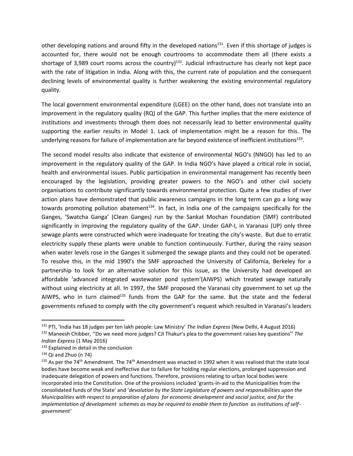other developing nations and around fifty in the developed nations<sup>131</sup>. Even if this shortage of judges is accounted for, there would not be enough courtrooms to accommodate them all (there exists a shortage of 3,989 court rooms across the country) $^{132}$ . Judicial infrastructure has clearly not kept pace with the rate of litigation in India. Along with this, the current rate of population and the consequent declining levels of environmental quality is further weakening the existing environmental regulatory quality.

The local government environmental expenditure (LGEE) on the other hand, does not translate into an improvement in the regulatory quality (RQ) of the GAP. This further implies that the mere existence of institutions and investments through them does not necessarily lead to better environmental quality supporting the earlier results in Model 1. Lack of implementation might be a reason for this. The underlying reasons for failure of implementation are far beyond existence of inefficient institutions<sup>133</sup>.

The second model results also indicate that existence of environmental NGO's (NNGO) has led to an improvement in the regulatory quality of the GAP. In India NGO's have played a critical role in social, health and environmental issues. Public participation in environmental management has recently been encouraged by the legislation, providing greater powers to the NGO's and other civil society organisations to contribute significantly towards environmental protection. Quite a few studies of river action plans have demonstrated that public awareness campaigns in the long term can go a long way towards promoting pollution abatement<sup>134</sup>. In fact, in India one of the campaigns specifically for the Ganges, 'Swatcha Ganga' (Clean Ganges) run by the Sankat Mochan Foundation (SMF) contributed significantly in improving the regulatory quality of the GAP. Under GAP-I, in Varanasi (UP) only three sewage plants were constructed which were inadequate for treating the city's waste. But due to erratic electricity supply these plants were unable to function continuously. Further, during the rainy season when water levels rose in the Ganges it submerged the sewage plants and they could not be operated. To resolve this, in the mid 1990's the SMF approached the University of California, Berkeley for a partnership to look for an alternative solution for this issue, as the University had developed an affordable 'advanced integrated wastewater pond system'(AIWPS) which treated sewage naturally without using electricity at all. In 1997, the SMF proposed the Varanasi city government to set up the AIWPS, who in turn claimed<sup>135</sup> funds from the GAP for the same. But the state and the federal governments refused to comply with the city government's request which resulted in Varanasi's leaders

l

<sup>131</sup> PTI, 'India has 18 judges per ten lakh people: Law Ministry' *The Indian Express* (New Delhi, 4 August 2016)

<sup>132</sup> Maneesh Chibber, ''Do we need more judges? CJI Thakur's plea to the government raises key questions'' *The Indian Express* (1 May 2016)

<sup>133</sup> Explained in detail in the conclusion

 $134$  Qi and Zhuo (n [74\)](#page-11-0)

 $135$  As per the 74<sup>th</sup> Amendment. The 74<sup>th</sup> Amendment was enacted in 1992 when it was realised that the state local bodies have become weak and ineffective due to failure for holding regular elections, prolonged suppression and inadequate delegation of powers and functions. Therefore, provisions relating to urban local bodies were incorporated into the Constitution. One of the provisions included 'grants-in-aid to the Municipalities from the consolidated funds of the State' and '*devolution by the State Legislature of powers and responsibilities upon the Municipalities with respect to preparation of plans for economic development and social justice, and for the implementation of development schemes as may be required to enable them to function as institutions of selfgovernment'*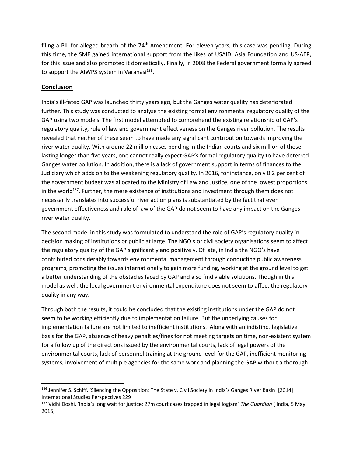filing a PIL for alleged breach of the  $74<sup>th</sup>$  Amendment. For eleven years, this case was pending. During this time, the SMF gained international support from the likes of USAID, Asia Foundation and US-AEP, for this issue and also promoted it domestically. Finally, in 2008 the Federal government formally agreed to support the AIWPS system in Varanasi<sup>136</sup>.

# **Conclusion**

 $\overline{\phantom{0}}$ 

India's ill-fated GAP was launched thirty years ago, but the Ganges water quality has deteriorated further. This study was conducted to analyse the existing formal environmental regulatory quality of the GAP using two models. The first model attempted to comprehend the existing relationship of GAP's regulatory quality, rule of law and government effectiveness on the Ganges river pollution. The results revealed that neither of these seem to have made any significant contribution towards improving the river water quality. With around 22 million cases pending in the Indian courts and six million of those lasting longer than five years, one cannot really expect GAP's formal regulatory quality to have deterred Ganges water pollution. In addition, there is a lack of government support in terms of finances to the Judiciary which adds on to the weakening regulatory quality. In 2016, for instance, only 0.2 per cent of the government budget was allocated to the Ministry of Law and Justice, one of the lowest proportions in the world<sup>137</sup>. Further, the mere existence of institutions and investment through them does not necessarily translates into successful river action plans is substantiated by the fact that even government effectiveness and rule of law of the GAP do not seem to have any impact on the Ganges river water quality.

The second model in this study was formulated to understand the role of GAP's regulatory quality in decision making of institutions or public at large. The NGO's or civil society organisations seem to affect the regulatory quality of the GAP significantly and positively. Of late, in India the NGO's have contributed considerably towards environmental management through conducting public awareness programs, promoting the issues internationally to gain more funding, working at the ground level to get a better understanding of the obstacles faced by GAP and also find viable solutions. Though in this model as well, the local government environmental expenditure does not seem to affect the regulatory quality in any way.

Through both the results, it could be concluded that the existing institutions under the GAP do not seem to be working efficiently due to implementation failure. But the underlying causes for implementation failure are not limited to inefficient institutions. Along with an indistinct legislative basis for the GAP, absence of heavy penalties/fines for not meeting targets on time, non-existent system for a follow up of the directions issued by the environmental courts, lack of legal powers of the environmental courts, lack of personnel training at the ground level for the GAP, inefficient monitoring systems, involvement of multiple agencies for the same work and planning the GAP without a thorough

<sup>&</sup>lt;sup>136</sup> Jennifer S. Schiff, 'Silencing the Opposition: The State v. Civil Society in India's Ganges River Basin' [2014] International Studies Perspectives 229

<sup>137</sup> Vidhi Doshi, 'India's long wait for justice: 27m court cases trapped in legal logjam' *The Guardian* ( India, 5 May 2016)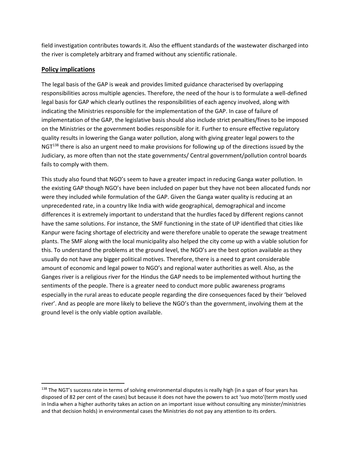field investigation contributes towards it. Also the effluent standards of the wastewater discharged into the river is completely arbitrary and framed without any scientific rationale.

# **Policy implications**

 $\overline{\phantom{0}}$ 

The legal basis of the GAP is weak and provides limited guidance characterised by overlapping responsibilities across multiple agencies. Therefore, the need of the hour is to formulate a well-defined legal basis for GAP which clearly outlines the responsibilities of each agency involved, along with indicating the Ministries responsible for the implementation of the GAP. In case of failure of implementation of the GAP, the legislative basis should also include strict penalties/fines to be imposed on the Ministries or the government bodies responsible for it. Further to ensure effective regulatory quality results in lowering the Ganga water pollution, along with giving greater legal powers to the NGT<sup>138</sup> there is also an urgent need to make provisions for following up of the directions issued by the Judiciary, as more often than not the state governments/ Central government/pollution control boards fails to comply with them.

This study also found that NGO's seem to have a greater impact in reducing Ganga water pollution. In the existing GAP though NGO's have been included on paper but they have not been allocated funds nor were they included while formulation of the GAP. Given the Ganga water quality is reducing at an unprecedented rate, in a country like India with wide geographical, demographical and income differences it is extremely important to understand that the hurdles faced by different regions cannot have the same solutions. For instance, the SMF functioning in the state of UP identified that cities like Kanpur were facing shortage of electricity and were therefore unable to operate the sewage treatment plants. The SMF along with the local municipality also helped the city come up with a viable solution for this. To understand the problems at the ground level, the NGO's are the best option available as they usually do not have any bigger political motives. Therefore, there is a need to grant considerable amount of economic and legal power to NGO's and regional water authorities as well. Also, as the Ganges river is a religious river for the Hindus the GAP needs to be implemented without hurting the sentiments of the people. There is a greater need to conduct more public awareness programs especially in the rural areas to educate people regarding the dire consequences faced by their 'beloved river'. And as people are more likely to believe the NGO's than the government, involving them at the ground level is the only viable option available.

<sup>&</sup>lt;sup>138</sup> The NGT's success rate in terms of solving environmental disputes is really high (in a span of four years has disposed of 82 per cent of the cases) but because it does not have the powers to act 'suo moto'(term mostly used in India when a higher authority takes an action on an important issue without consulting any minister/ministries and that decision holds) in environmental cases the Ministries do not pay any attention to its orders.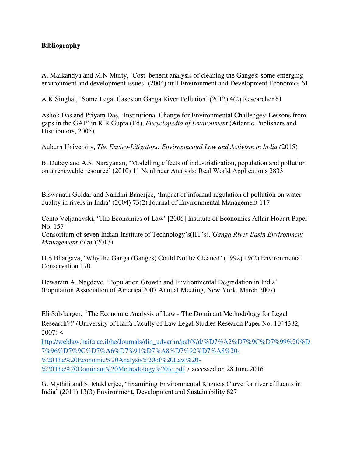# **Bibliography**

A. Markandya and M.N Murty, 'Cost–benefit analysis of cleaning the Ganges: some emerging environment and development issues' (2004) null Environment and Development Economics 61

A.K Singhal, 'Some Legal Cases on Ganga River Pollution' (2012) 4(2) Researcher 61

Ashok Das and Priyam Das, 'Institutional Change for Environmental Challenges: Lessons from gaps in the GAP' in K.R.Gupta (Ed), *Encyclopedia of Environment* (Atlantic Publishers and Distributors, 2005)

Auburn University, *The Enviro-Litigators: Environmental Law and Activism in India (*2015)

B. Dubey and A.S. Narayanan, 'Modelling effects of industrialization, population and pollution on a renewable resource' (2010) 11 Nonlinear Analysis: Real World Applications 2833

Biswanath Goldar and Nandini Banerjee, 'Impact of informal regulation of pollution on water quality in rivers in India' (2004) 73(2) Journal of Environmental Management 117

Cento Veljanovski, 'The Economics of Law' [2006] Institute of Economics Affair Hobart Paper No. 157

Consortium of seven Indian Institute of Technology's(IIT's),*'Ganga River Basin Environment Management Plan'*(2013)

D.S Bhargava, 'Why the Ganga (Ganges) Could Not be Cleaned' (1992) 19(2) Environmental Conservation 170

Dewaram A. Nagdeve, 'Population Growth and Environmental Degradation in India' (Population Association of America 2007 Annual Meeting, New York, March 2007)

Eli Salzberger, 'The Economic Analysis of Law - The Dominant Methodology for Legal Research?!' (University of Haifa Faculty of Law Legal Studies Research Paper No. 1044382,  $2007 <$ 

[http://weblaw.haifa.ac.il/he/Journals/din\\_udvarim/pabN/d/%D7%A2%D7%9C%D7%99%20%D](http://weblaw.haifa.ac.il/he/Journals/din_udvarim/pabN/d/%D7%A2%D7%9C%D7%99%20%D7%96%D7%9C%D7%A6%D7%91%D7%A8%D7%92%D7%A8%20-%20The%20Economic%20Analysis%20of%20Law%20-%20The%20Dominant%20Methodology%20fo.pdf) [7%96%D7%9C%D7%A6%D7%91%D7%A8%D7%92%D7%A8%20-](http://weblaw.haifa.ac.il/he/Journals/din_udvarim/pabN/d/%D7%A2%D7%9C%D7%99%20%D7%96%D7%9C%D7%A6%D7%91%D7%A8%D7%92%D7%A8%20-%20The%20Economic%20Analysis%20of%20Law%20-%20The%20Dominant%20Methodology%20fo.pdf) [%20The%20Economic%20Analysis%20of%20Law%20-](http://weblaw.haifa.ac.il/he/Journals/din_udvarim/pabN/d/%D7%A2%D7%9C%D7%99%20%D7%96%D7%9C%D7%A6%D7%91%D7%A8%D7%92%D7%A8%20-%20The%20Economic%20Analysis%20of%20Law%20-%20The%20Dominant%20Methodology%20fo.pdf) [%20The%20Dominant%20Methodology%20fo.pdf](http://weblaw.haifa.ac.il/he/Journals/din_udvarim/pabN/d/%D7%A2%D7%9C%D7%99%20%D7%96%D7%9C%D7%A6%D7%91%D7%A8%D7%92%D7%A8%20-%20The%20Economic%20Analysis%20of%20Law%20-%20The%20Dominant%20Methodology%20fo.pdf) > accessed on 28 June 2016

G. Mythili and S. Mukherjee, 'Examining Environmental Kuznets Curve for river effluents in India' (2011) 13(3) Environment, Development and Sustainability 627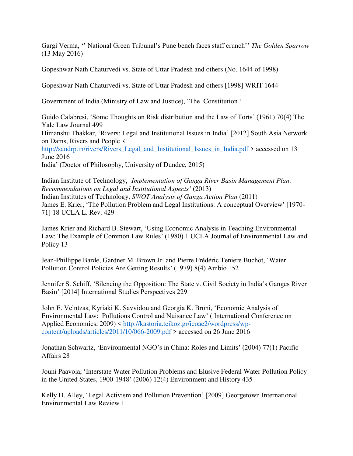Gargi Verma, '' National Green Tribunal's Pune bench faces staff crunch'' *The Golden Sparrow* (13 May 2016)

Gopeshwar Nath Chaturvedi vs. State of Uttar Pradesh and others (No. 1644 of 1998)

Gopeshwar Nath Chaturvedi vs. State of Uttar Pradesh and others [1998] WRIT 1644

Government of India (Ministry of Law and Justice), 'The Constitution '

Guido Calabresi, 'Some Thoughts on Risk distribution and the Law of Torts' (1961) 70(4) The Yale Law Journal 499 Himanshu Thakkar, 'Rivers: Legal and Institutional Issues in India' [2012] South Asia Network on Dams, Rivers and People < [http://sandrp.in/rivers/Rivers\\_Legal\\_and\\_Institutional\\_Issues\\_in\\_India.pdf](http://sandrp.in/rivers/Rivers_Legal_and_Institutional_Issues_in_India.pdf) > accessed on 13 June 2016 India' (Doctor of Philosophy, University of Dundee, 2015)

Indian Institute of Technology, *'Implementation of Ganga River Basin Management Plan: Recommendations on Legal and Institutional Aspects'* (2013) Indian Institutes of Technology, *SWOT Analysis of Ganga Action Plan* (2011) James E. Krier, 'The Pollution Problem and Legal Institutions: A conceptual Overview' [1970- 71] 18 UCLA L. Rev. 429

James Krier and Richard B. Stewart, 'Using Economic Analysis in Teaching Environmental Law: The Example of Common Law Rules' (1980) 1 UCLA Journal of Environmental Law and Policy 13

Jean-Phillippe Barde, Gardner M. Brown Jr. and Pierre Frédéric Teniere Buchot, 'Water Pollution Control Policies Are Getting Results' (1979) 8(4) Ambio 152

Jennifer S. Schiff, 'Silencing the Opposition: The State v. Civil Society in India's Ganges River Basin' [2014] International Studies Perspectives 229

John E. Velntzas, Kyriaki K. Savvidou and Georgia K. Broni, 'Economic Analysis of Environmental Law: Pollutions Control and Nuisance Law' ( International Conference on Applied Economics, 2009) < [http://kastoria.teikoz.gr/icoae2/wordpress/wp](http://kastoria.teikoz.gr/icoae2/wordpress/wp-content/uploads/articles/2011/10/066-2009.pdf)[content/uploads/articles/2011/10/066-2009.pdf](http://kastoria.teikoz.gr/icoae2/wordpress/wp-content/uploads/articles/2011/10/066-2009.pdf) > accessed on 26 June 2016

Jonathan Schwartz, 'Environmental NGO's in China: Roles and Limits' (2004) 77(1) Pacific Affairs 28

Jouni Paavola, 'Interstate Water Pollution Problems and Elusive Federal Water Pollution Policy in the United States, 1900-1948' (2006) 12(4) Environment and History 435

Kelly D. Alley, 'Legal Activism and Pollution Prevention' [2009] Georgetown International Environmental Law Review 1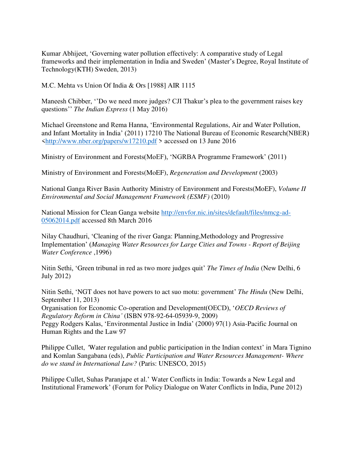Kumar Abhijeet, 'Governing water pollution effectively: A comparative study of Legal frameworks and their implementation in India and Sweden' (Master's Degree, Royal Institute of Technology(KTH) Sweden, 2013)

M.C. Mehta vs Union Of India & Ors [1988] AIR 1115

Maneesh Chibber, ''Do we need more judges? CJI Thakur's plea to the government raises key questions'' *The Indian Express* (1 May 2016)

Michael Greenstone and Rema Hanna, 'Environmental Regulations, Air and Water Pollution, and Infant Mortality in India' (2011) 17210 The National Bureau of Economic Research(NBER) [<http://www.nber.org/papers/w17210.pdf](http://www.nber.org/papers/w17210.pdf) > accessed on 13 June 2016

Ministry of Environment and Forests(MoEF), 'NGRBA Programme Framework' (2011)

Ministry of Environment and Forests(MoEF), *Regeneration and Development* (2003)

National Ganga River Basin Authority Ministry of Environment and Forests(MoEF), *Volume II Environmental and Social Management Framework (ESMF)* (2010)

National Mission for Clean Ganga website [http://envfor.nic.in/sites/default/files/nmcg-ad-](http://envfor.nic.in/sites/default/files/nmcg-ad-05062014.pdf)[05062014.pdf](http://envfor.nic.in/sites/default/files/nmcg-ad-05062014.pdf) accessed 8th March 2016

Nilay Chaudhuri, 'Cleaning of the river Ganga: Planning,Methodology and Progressive Implementation' (*Managing Water Resources for Large Cities and Towns - Report of Beijing Water Conference* ,1996)

Nitin Sethi, 'Green tribunal in red as two more judges quit' *The Times of India* (New Delhi, 6 July 2012)

Nitin Sethi, 'NGT does not have powers to act suo motu: government' *The Hindu* (New Delhi, September 11, 2013)

Organisation for Economic Co-operation and Development(OECD), '*OECD Reviews of Regulatory Reform in China'* (ISBN 978-92-64-05939-9, 2009)

Peggy Rodgers Kalas, 'Environmental Justice in India' (2000) 97(1) Asia-Pacific Journal on Human Rights and the Law 97

Philippe Cullet, *'*Water regulation and public participation in the Indian context' in Mara Tignino and Komlan Sangabana (eds), *Public Participation and Water Resources Management- Where do we stand in International Law?* (Paris: UNESCO, 2015)

Philippe Cullet, Suhas Paranjape et al.' Water Conflicts in India: Towards a New Legal and Institutional Framework' (Forum for Policy Dialogue on Water Conflicts in India, Pune 2012)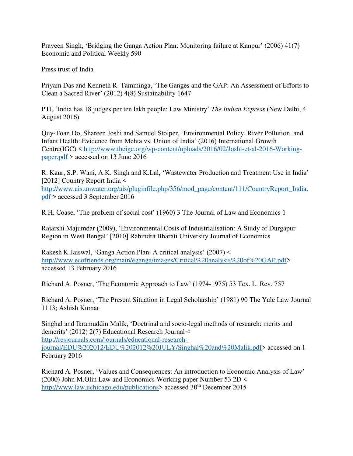Praveen Singh, 'Bridging the Ganga Action Plan: Monitoring failure at Kanpur' (2006) 41(7) Economic and Political Weekly 590

Press trust of India

Priyam Das and Kenneth R. Tamminga, 'The Ganges and the GAP: An Assessment of Efforts to Clean a Sacred River' (2012) 4(8) Sustainability 1647

PTI, 'India has 18 judges per ten lakh people: Law Ministry' *The Indian Express* (New Delhi, 4 August 2016)

Quy-Toan Do, Shareen Joshi and Samuel Stolper, 'Environmental Policy, River Pollution, and Infant Health: Evidence from Mehta vs. Union of India' (2016) International Growth Centre(IGC) < [http://www.theigc.org/wp-content/uploads/2016/02/Joshi-et-al-2016-Working](http://www.theigc.org/wp-content/uploads/2016/02/Joshi-et-al-2016-Working-paper.pdf)[paper.pdf](http://www.theigc.org/wp-content/uploads/2016/02/Joshi-et-al-2016-Working-paper.pdf) > accessed on 13 June 2016

R. Kaur, S.P. Wani, A.K. Singh and K.Lal, 'Wastewater Production and Treatment Use in India' [2012] Country Report India < [http://www.ais.unwater.org/ais/pluginfile.php/356/mod\\_page/content/111/CountryReport\\_India.](http://www.ais.unwater.org/ais/pluginfile.php/356/mod_page/content/111/CountryReport_India.pdf) [pdf](http://www.ais.unwater.org/ais/pluginfile.php/356/mod_page/content/111/CountryReport_India.pdf) > accessed 3 September 2016

R.H. Coase, 'The problem of social cost' (1960) 3 The Journal of Law and Economics 1

Rajarshi Majumdar (2009), 'Environmental Costs of Industrialisation: A Study of Durgapur Region in West Bengal' [2010] Rabindra Bharati University Journal of Economics

Rakesh K Jaiswal, 'Ganga Action Plan: A critical analysis' (2007) < [http://www.ecofriends.org/main/eganga/images/Critical%20analysis%20of%20GAP.pdf>](http://www.ecofriends.org/main/eganga/images/Critical%20analysis%20of%20GAP.pdf) accessed 13 February 2016

Richard A. Posner, 'The Economic Approach to Law' (1974-1975) 53 Tex. L. Rev. 757

Richard A. Posner, 'The Present Situation in Legal Scholarship' (1981) 90 The Yale Law Journal 1113; Ashish Kumar

Singhal and Ikramuddin Malik, 'Doctrinal and socio-legal methods of research: merits and demerits' (2012) 2(7) Educational Research Journal < [http://resjournals.com/journals/educational-research](http://resjournals.com/journals/educational-research-journal/EDU%202012/EDU%202012%20JULY/Singhal%20and%20Malik.pdf)[journal/EDU%202012/EDU%202012%20JULY/Singhal%20and%20Malik.pdf>](http://resjournals.com/journals/educational-research-journal/EDU%202012/EDU%202012%20JULY/Singhal%20and%20Malik.pdf) accessed on 1 February 2016

Richard A. Posner, 'Values and Consequences: An introduction to Economic Analysis of Law' (2000) John M.Olin Law and Economics Working paper Number 53 2D < [http://www.law.uchicago.edu/publications>](http://www.law.uchicago.edu/publications) accessed 30<sup>th</sup> December 2015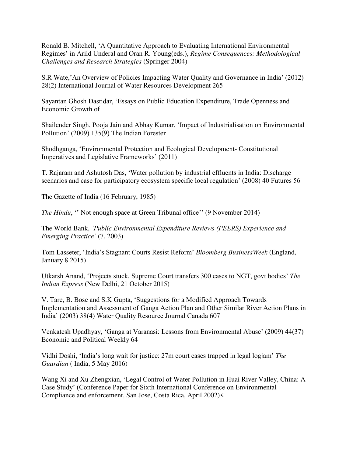Ronald B. Mitchell, 'A Quantitative Approach to Evaluating International Environmental Regimes' in Arild Underal and Oran R. Young(eds.), *Regime Consequences: Methodological Challenges and Research Strategies* (Springer 2004)

S.R Wate,'An Overview of Policies Impacting Water Quality and Governance in India' (2012) 28(2) International Journal of Water Resources Development 265

Sayantan Ghosh Dastidar, 'Essays on Public Education Expenditure, Trade Openness and Economic Growth of

Shailender Singh, Pooja Jain and Abhay Kumar, 'Impact of Industrialisation on Environmental Pollution' (2009) 135(9) The Indian Forester

Shodhganga, 'Environmental Protection and Ecological Development- Constitutional Imperatives and Legislative Frameworks' (2011)

T. Rajaram and Ashutosh Das, 'Water pollution by industrial effluents in India: Discharge scenarios and case for participatory ecosystem specific local regulation' (2008) 40 Futures 56

The Gazette of India (16 February, 1985)

*The Hindu*, "Not enough space at Green Tribunal office" (9 November 2014)

The World Bank, *'Public Environmental Expenditure Reviews (PEERS) Experience and Emerging Practice'* (7, 2003)

Tom Lasseter, 'India's Stagnant Courts Resist Reform' *Bloomberg BusinessWeek* (England, January 8 2015)

Utkarsh Anand, 'Projects stuck, Supreme Court transfers 300 cases to NGT, govt bodies' *The Indian Express* (New Delhi, 21 October 2015)

V. Tare, B. Bose and S.K Gupta, 'Suggestions for a Modified Approach Towards Implementation and Assessment of Ganga Action Plan and Other Similar River Action Plans in India' (2003) 38(4) Water Quality Resource Journal Canada 607

Venkatesh Upadhyay, 'Ganga at Varanasi: Lessons from Environmental Abuse' (2009) 44(37) Economic and Political Weekly 64

Vidhi Doshi, 'India's long wait for justice: 27m court cases trapped in legal logjam' *The Guardian* ( India, 5 May 2016)

Wang Xi and Xu Zhengxian, 'Legal Control of Water Pollution in Huai River Valley, China: A Case Study' (Conference Paper for Sixth International Conference on Environmental Compliance and enforcement, San Jose, Costa Rica, April 2002)<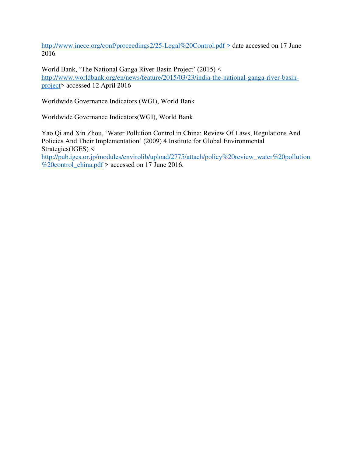<http://www.inece.org/conf/proceedings2/25-Legal%20Control.pdf>> date accessed on 17 June 2016

World Bank, 'The National Ganga River Basin Project' (2015) < [http://www.worldbank.org/en/news/feature/2015/03/23/india-the-national-ganga-river-basin](http://www.worldbank.org/en/news/feature/2015/03/23/india-the-national-ganga-river-basin-project)[project>](http://www.worldbank.org/en/news/feature/2015/03/23/india-the-national-ganga-river-basin-project) accessed 12 April 2016

Worldwide Governance Indicators (WGI), World Bank

Worldwide Governance Indicators(WGI), World Bank

Yao Qi and Xin Zhou, 'Water Pollution Control in China: Review Of Laws, Regulations And Policies And Their Implementation' (2009) 4 Institute for Global Environmental Strategies(IGES) < [http://pub.iges.or.jp/modules/envirolib/upload/2775/attach/policy%20review\\_water%20pollution](http://pub.iges.or.jp/modules/envirolib/upload/2775/attach/policy%20review_water%20pollution%20control_china.pdf) [%20control\\_china.pdf](http://pub.iges.or.jp/modules/envirolib/upload/2775/attach/policy%20review_water%20pollution%20control_china.pdf) > accessed on 17 June 2016.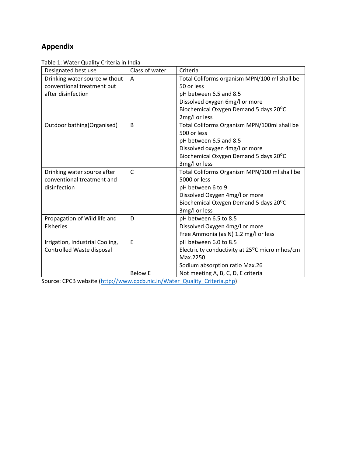# **Appendix**

Table 1: Water Quality Criteria in India

| Designated best use             | Class of water | Criteria                                       |
|---------------------------------|----------------|------------------------------------------------|
| Drinking water source without   | A              | Total Coliforms organism MPN/100 ml shall be   |
| conventional treatment but      |                | 50 or less                                     |
| after disinfection              |                | pH between 6.5 and 8.5                         |
|                                 |                | Dissolved oxygen 6mg/l or more                 |
|                                 |                | Biochemical Oxygen Demand 5 days 20°C          |
|                                 |                | 2mg/l or less                                  |
| Outdoor bathing(Organised)      | B              | Total Coliforms Organism MPN/100ml shall be    |
|                                 |                | 500 or less                                    |
|                                 |                | pH between 6.5 and 8.5                         |
|                                 |                | Dissolved oxygen 4mg/l or more                 |
|                                 |                | Biochemical Oxygen Demand 5 days 20°C          |
|                                 |                | 3mg/l or less                                  |
| Drinking water source after     | $\mathsf{C}$   | Total Coliforms Organism MPN/100 ml shall be   |
| conventional treatment and      |                | 5000 or less                                   |
| disinfection                    |                | pH between 6 to 9                              |
|                                 |                | Dissolved Oxygen 4mg/l or more                 |
|                                 |                | Biochemical Oxygen Demand 5 days 20°C          |
|                                 |                | 3mg/l or less                                  |
| Propagation of Wild life and    | D              | pH between 6.5 to 8.5                          |
| <b>Fisheries</b>                |                | Dissolved Oxygen 4mg/l or more                 |
|                                 |                | Free Ammonia (as N) 1.2 mg/l or less           |
| Irrigation, Industrial Cooling, | E              | pH between 6.0 to 8.5                          |
| Controlled Waste disposal       |                | Electricity conductivity at 25°C micro mhos/cm |
|                                 |                | Max.2250                                       |
|                                 |                | Sodium absorption ratio Max.26                 |
|                                 | <b>Below E</b> | Not meeting A, B, C, D, E criteria             |

Source: CPCB website [\(http://www.cpcb.nic.in/Water\\_Quality\\_Criteria.php\)](http://www.cpcb.nic.in/Water_Quality_Criteria.php)